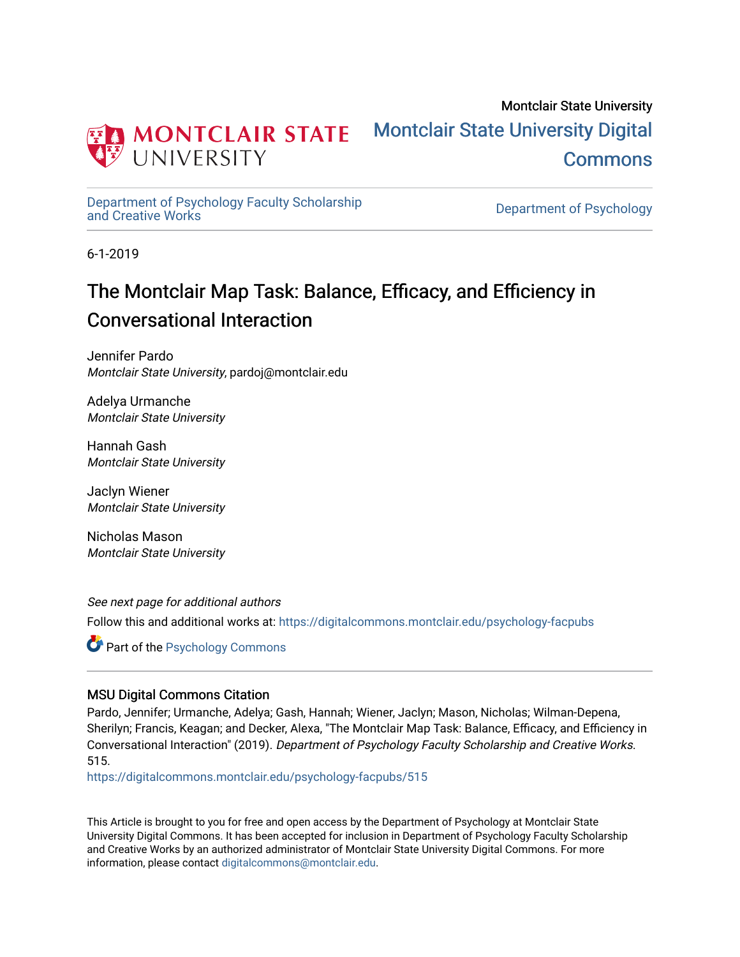

Montclair State University [Montclair State University Digital](https://digitalcommons.montclair.edu/)  [Commons](https://digitalcommons.montclair.edu/) 

[Department of Psychology Faculty Scholarship](https://digitalcommons.montclair.edu/psychology-facpubs) 

Department of Psychology

6-1-2019

# The Montclair Map Task: Balance, Efficacy, and Efficiency in Conversational Interaction

Jennifer Pardo Montclair State University, pardoj@montclair.edu

Adelya Urmanche Montclair State University

Hannah Gash Montclair State University

Jaclyn Wiener Montclair State University

Nicholas Mason Montclair State University

See next page for additional authors Follow this and additional works at: [https://digitalcommons.montclair.edu/psychology-facpubs](https://digitalcommons.montclair.edu/psychology-facpubs?utm_source=digitalcommons.montclair.edu%2Fpsychology-facpubs%2F515&utm_medium=PDF&utm_campaign=PDFCoverPages) 

**C** Part of the Psychology Commons

## MSU Digital Commons Citation

Pardo, Jennifer; Urmanche, Adelya; Gash, Hannah; Wiener, Jaclyn; Mason, Nicholas; Wilman-Depena, Sherilyn; Francis, Keagan; and Decker, Alexa, "The Montclair Map Task: Balance, Efficacy, and Efficiency in Conversational Interaction" (2019). Department of Psychology Faculty Scholarship and Creative Works. 515.

[https://digitalcommons.montclair.edu/psychology-facpubs/515](https://digitalcommons.montclair.edu/psychology-facpubs/515?utm_source=digitalcommons.montclair.edu%2Fpsychology-facpubs%2F515&utm_medium=PDF&utm_campaign=PDFCoverPages) 

This Article is brought to you for free and open access by the Department of Psychology at Montclair State University Digital Commons. It has been accepted for inclusion in Department of Psychology Faculty Scholarship and Creative Works by an authorized administrator of Montclair State University Digital Commons. For more information, please contact [digitalcommons@montclair.edu](mailto:digitalcommons@montclair.edu).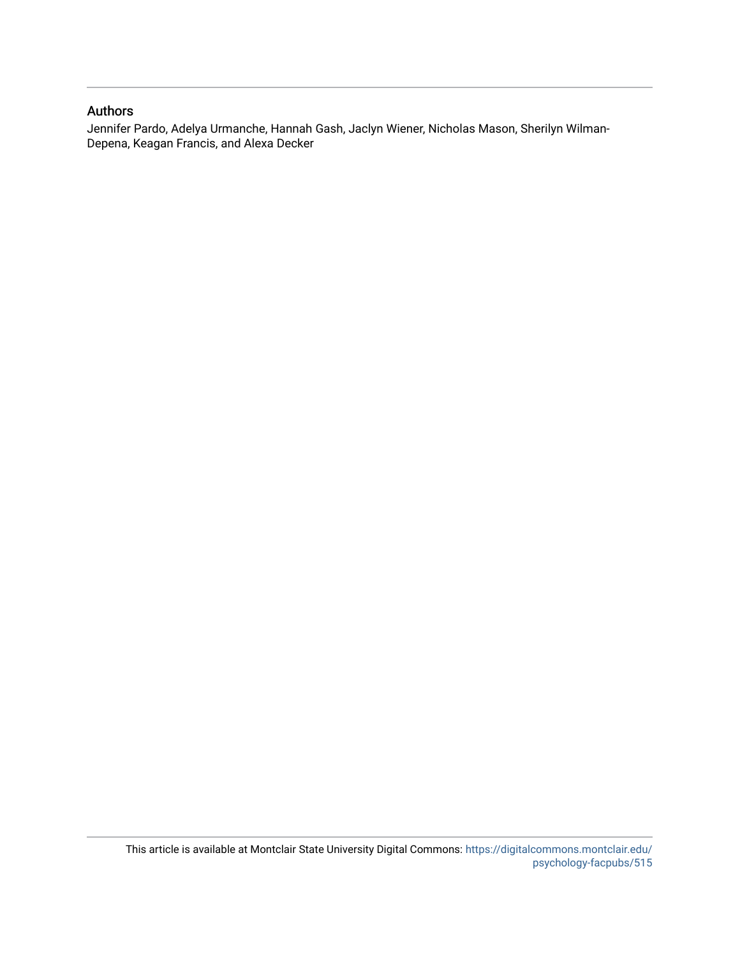### Authors

Jennifer Pardo, Adelya Urmanche, Hannah Gash, Jaclyn Wiener, Nicholas Mason, Sherilyn Wilman-Depena, Keagan Francis, and Alexa Decker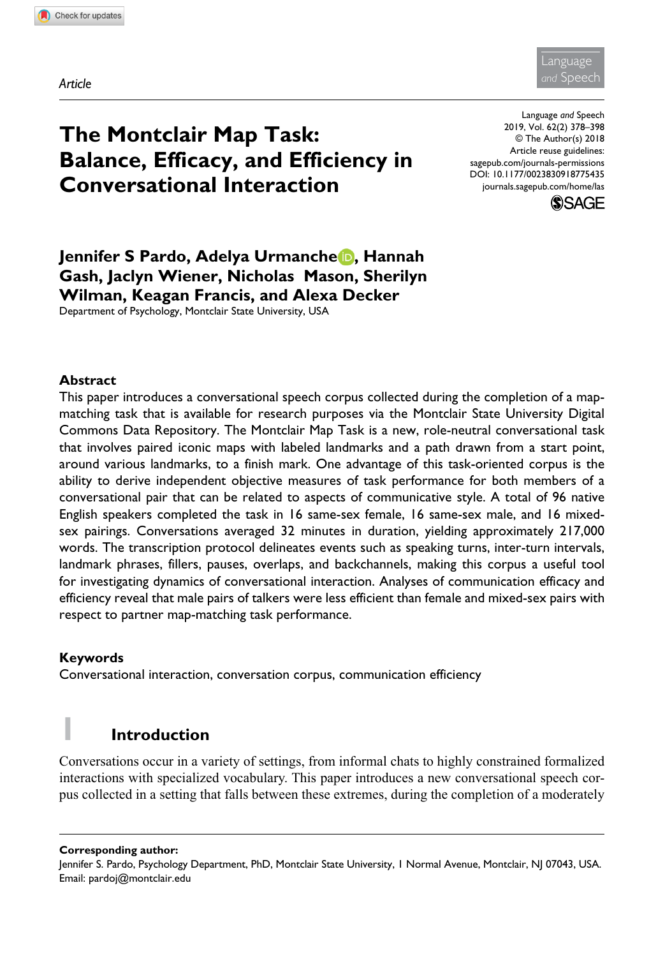*Article*



# **The Montclair Map Task: Balance, Efficacy, and Efficiency in Conversational Interaction**

DOI: 10.1177/0023830918775435 Language *and* Speech 2019, Vol. 62(2) 378–398 © The Author(s) 2018 Article reuse guidelines: [sagepub.com/journals-permissions](https://uk.sagepub.com/en-gb/journals-permissions) [journals.sagepub.com/home/las](https://journals.sagepub.com/home/las)



# **Jennifer S Pardo, Adelya Urmanche , Hannah Gash, Jaclyn Wiener, Nicholas Mason, Sherilyn Wilman, Keagan Francis, and Alexa Decker**

Department of Psychology, Montclair State University, USA

#### **Abstract**

This paper introduces a conversational speech corpus collected during the completion of a mapmatching task that is available for research purposes via the Montclair State University Digital Commons Data Repository. The Montclair Map Task is a new, role-neutral conversational task that involves paired iconic maps with labeled landmarks and a path drawn from a start point, around various landmarks, to a finish mark. One advantage of this task-oriented corpus is the ability to derive independent objective measures of task performance for both members of a conversational pair that can be related to aspects of communicative style. A total of 96 native English speakers completed the task in 16 same-sex female, 16 same-sex male, and 16 mixedsex pairings. Conversations averaged 32 minutes in duration, yielding approximately 217,000 words. The transcription protocol delineates events such as speaking turns, inter-turn intervals, landmark phrases, fillers, pauses, overlaps, and backchannels, making this corpus a useful tool for investigating dynamics of conversational interaction. Analyses of communication efficacy and efficiency reveal that male pairs of talkers were less efficient than female and mixed-sex pairs with respect to partner map-matching task performance.

#### **Keywords**

Conversational interaction, conversation corpus, communication efficiency

# **1 Introduction**

Conversations occur in a variety of settings, from informal chats to highly constrained formalized interactions with specialized vocabulary. This paper introduces a new conversational speech corpus collected in a setting that falls between these extremes, during the completion of a moderately

**Corresponding author:**

Jennifer S. Pardo, Psychology Department, PhD, Montclair State University, 1 Normal Avenue, Montclair, NJ 07043, USA. Email: [pardoj@montclair.edu](mailto:pardoj@montclair.edu)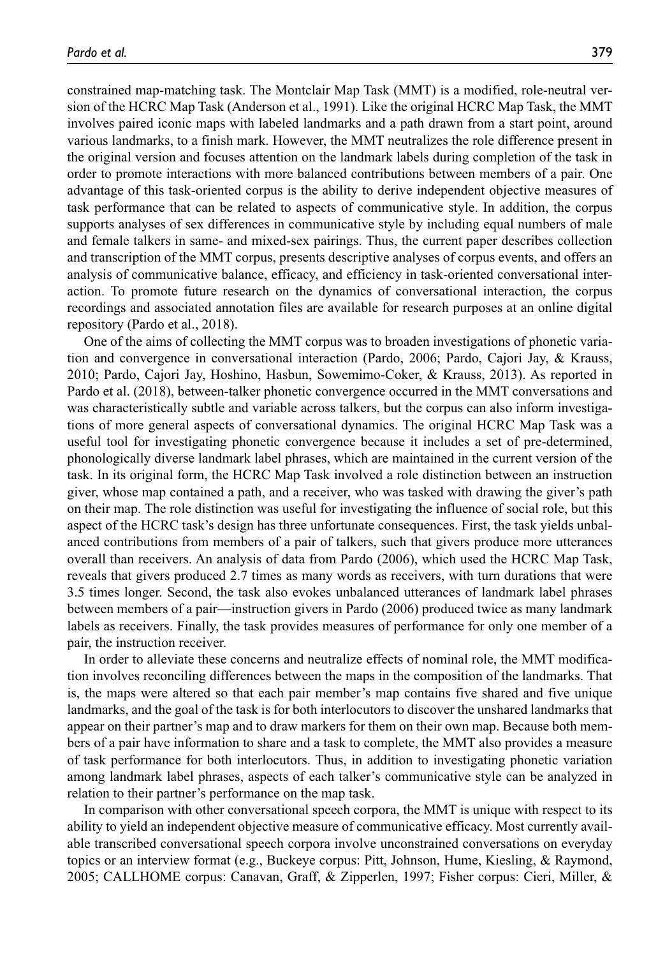constrained map-matching task. The Montclair Map Task (MMT) is a modified, role-neutral version of the HCRC Map Task (Anderson et al., 1991). Like the original HCRC Map Task, the MMT involves paired iconic maps with labeled landmarks and a path drawn from a start point, around various landmarks, to a finish mark. However, the MMT neutralizes the role difference present in the original version and focuses attention on the landmark labels during completion of the task in order to promote interactions with more balanced contributions between members of a pair. One advantage of this task-oriented corpus is the ability to derive independent objective measures of task performance that can be related to aspects of communicative style. In addition, the corpus supports analyses of sex differences in communicative style by including equal numbers of male and female talkers in same- and mixed-sex pairings. Thus, the current paper describes collection and transcription of the MMT corpus, presents descriptive analyses of corpus events, and offers an analysis of communicative balance, efficacy, and efficiency in task-oriented conversational interaction. To promote future research on the dynamics of conversational interaction, the corpus recordings and associated annotation files are available for research purposes at an online digital repository (Pardo et al., 2018).

One of the aims of collecting the MMT corpus was to broaden investigations of phonetic variation and convergence in conversational interaction (Pardo, 2006; Pardo, Cajori Jay, & Krauss, 2010; Pardo, Cajori Jay, Hoshino, Hasbun, Sowemimo-Coker, & Krauss, 2013). As reported in Pardo et al. (2018), between-talker phonetic convergence occurred in the MMT conversations and was characteristically subtle and variable across talkers, but the corpus can also inform investigations of more general aspects of conversational dynamics. The original HCRC Map Task was a useful tool for investigating phonetic convergence because it includes a set of pre-determined, phonologically diverse landmark label phrases, which are maintained in the current version of the task. In its original form, the HCRC Map Task involved a role distinction between an instruction giver, whose map contained a path, and a receiver, who was tasked with drawing the giver's path on their map. The role distinction was useful for investigating the influence of social role, but this aspect of the HCRC task's design has three unfortunate consequences. First, the task yields unbalanced contributions from members of a pair of talkers, such that givers produce more utterances overall than receivers. An analysis of data from Pardo (2006), which used the HCRC Map Task, reveals that givers produced 2.7 times as many words as receivers, with turn durations that were 3.5 times longer. Second, the task also evokes unbalanced utterances of landmark label phrases between members of a pair—instruction givers in Pardo (2006) produced twice as many landmark labels as receivers. Finally, the task provides measures of performance for only one member of a pair, the instruction receiver.

In order to alleviate these concerns and neutralize effects of nominal role, the MMT modification involves reconciling differences between the maps in the composition of the landmarks. That is, the maps were altered so that each pair member's map contains five shared and five unique landmarks, and the goal of the task is for both interlocutors to discover the unshared landmarks that appear on their partner's map and to draw markers for them on their own map. Because both members of a pair have information to share and a task to complete, the MMT also provides a measure of task performance for both interlocutors. Thus, in addition to investigating phonetic variation among landmark label phrases, aspects of each talker's communicative style can be analyzed in relation to their partner's performance on the map task.

In comparison with other conversational speech corpora, the MMT is unique with respect to its ability to yield an independent objective measure of communicative efficacy. Most currently available transcribed conversational speech corpora involve unconstrained conversations on everyday topics or an interview format (e.g., Buckeye corpus: Pitt, Johnson, Hume, Kiesling, & Raymond, 2005; CALLHOME corpus: Canavan, Graff, & Zipperlen, 1997; Fisher corpus: Cieri, Miller, &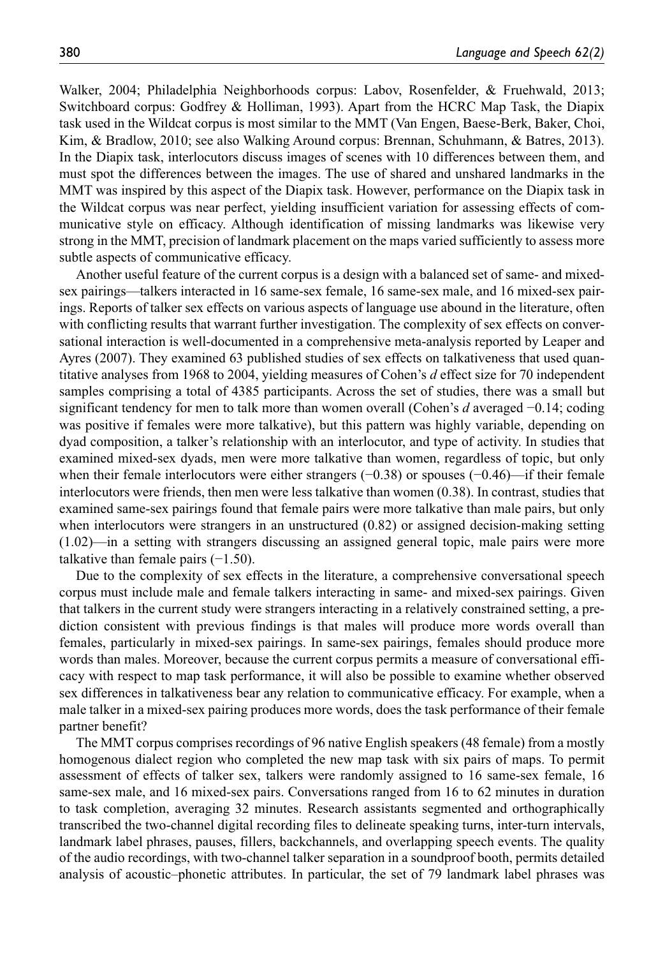Walker, 2004; Philadelphia Neighborhoods corpus: Labov, Rosenfelder, & Fruehwald, 2013; Switchboard corpus: Godfrey & Holliman, 1993). Apart from the HCRC Map Task, the Diapix task used in the Wildcat corpus is most similar to the MMT (Van Engen, Baese-Berk, Baker, Choi, Kim, & Bradlow, 2010; see also Walking Around corpus: Brennan, Schuhmann, & Batres, 2013). In the Diapix task, interlocutors discuss images of scenes with 10 differences between them, and must spot the differences between the images. The use of shared and unshared landmarks in the MMT was inspired by this aspect of the Diapix task. However, performance on the Diapix task in the Wildcat corpus was near perfect, yielding insufficient variation for assessing effects of communicative style on efficacy. Although identification of missing landmarks was likewise very strong in the MMT, precision of landmark placement on the maps varied sufficiently to assess more subtle aspects of communicative efficacy.

Another useful feature of the current corpus is a design with a balanced set of same- and mixedsex pairings—talkers interacted in 16 same-sex female, 16 same-sex male, and 16 mixed-sex pairings. Reports of talker sex effects on various aspects of language use abound in the literature, often with conflicting results that warrant further investigation. The complexity of sex effects on conversational interaction is well-documented in a comprehensive meta-analysis reported by Leaper and Ayres (2007). They examined 63 published studies of sex effects on talkativeness that used quantitative analyses from 1968 to 2004, yielding measures of Cohen's *d* effect size for 70 independent samples comprising a total of 4385 participants. Across the set of studies, there was a small but significant tendency for men to talk more than women overall (Cohen's *d* averaged −0.14; coding was positive if females were more talkative), but this pattern was highly variable, depending on dyad composition, a talker's relationship with an interlocutor, and type of activity. In studies that examined mixed-sex dyads, men were more talkative than women, regardless of topic, but only when their female interlocutors were either strangers (−0.38) or spouses (−0.46)—if their female interlocutors were friends, then men were less talkative than women (0.38). In contrast, studies that examined same-sex pairings found that female pairs were more talkative than male pairs, but only when interlocutors were strangers in an unstructured (0.82) or assigned decision-making setting (1.02)—in a setting with strangers discussing an assigned general topic, male pairs were more talkative than female pairs  $(-1.50)$ .

Due to the complexity of sex effects in the literature, a comprehensive conversational speech corpus must include male and female talkers interacting in same- and mixed-sex pairings. Given that talkers in the current study were strangers interacting in a relatively constrained setting, a prediction consistent with previous findings is that males will produce more words overall than females, particularly in mixed-sex pairings. In same-sex pairings, females should produce more words than males. Moreover, because the current corpus permits a measure of conversational efficacy with respect to map task performance, it will also be possible to examine whether observed sex differences in talkativeness bear any relation to communicative efficacy. For example, when a male talker in a mixed-sex pairing produces more words, does the task performance of their female partner benefit?

The MMT corpus comprises recordings of 96 native English speakers (48 female) from a mostly homogenous dialect region who completed the new map task with six pairs of maps. To permit assessment of effects of talker sex, talkers were randomly assigned to 16 same-sex female, 16 same-sex male, and 16 mixed-sex pairs. Conversations ranged from 16 to 62 minutes in duration to task completion, averaging 32 minutes. Research assistants segmented and orthographically transcribed the two-channel digital recording files to delineate speaking turns, inter-turn intervals, landmark label phrases, pauses, fillers, backchannels, and overlapping speech events. The quality of the audio recordings, with two-channel talker separation in a soundproof booth, permits detailed analysis of acoustic–phonetic attributes. In particular, the set of 79 landmark label phrases was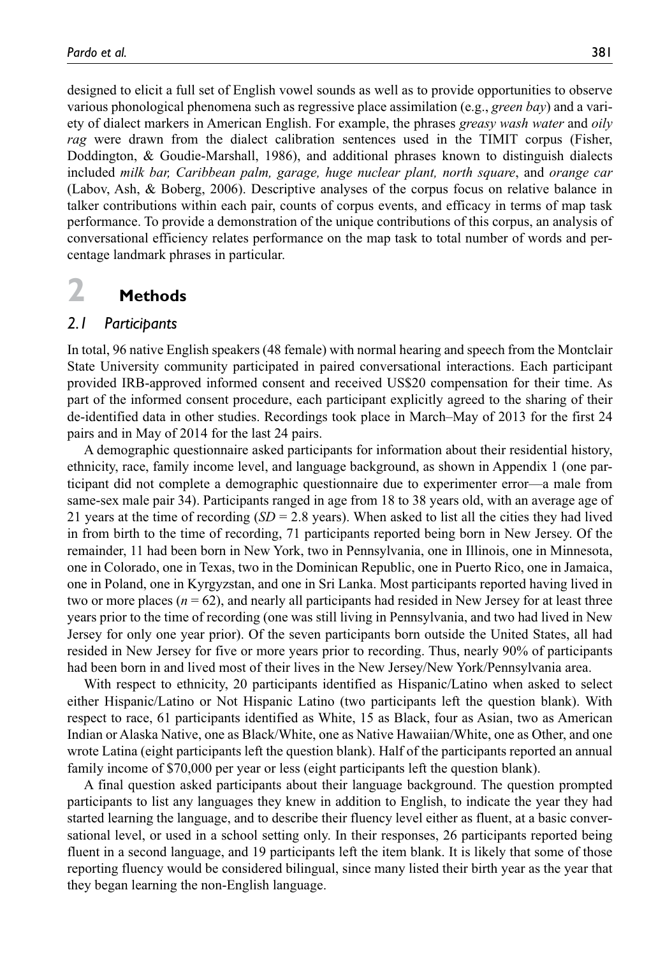designed to elicit a full set of English vowel sounds as well as to provide opportunities to observe various phonological phenomena such as regressive place assimilation (e.g., *green bay*) and a variety of dialect markers in American English. For example, the phrases *greasy wash water* and *oily rag* were drawn from the dialect calibration sentences used in the TIMIT corpus (Fisher, Doddington, & Goudie-Marshall, 1986), and additional phrases known to distinguish dialects included *milk bar, Caribbean palm, garage, huge nuclear plant, north square*, and *orange car* (Labov, Ash, & Boberg, 2006). Descriptive analyses of the corpus focus on relative balance in talker contributions within each pair, counts of corpus events, and efficacy in terms of map task performance. To provide a demonstration of the unique contributions of this corpus, an analysis of conversational efficiency relates performance on the map task to total number of words and percentage landmark phrases in particular.

# **2 Methods**

#### *2.1 Participants*

In total, 96 native English speakers (48 female) with normal hearing and speech from the Montclair State University community participated in paired conversational interactions. Each participant provided IRB-approved informed consent and received US\$20 compensation for their time. As part of the informed consent procedure, each participant explicitly agreed to the sharing of their de-identified data in other studies. Recordings took place in March–May of 2013 for the first 24 pairs and in May of 2014 for the last 24 pairs.

A demographic questionnaire asked participants for information about their residential history, ethnicity, race, family income level, and language background, as shown in Appendix 1 (one participant did not complete a demographic questionnaire due to experimenter error—a male from same-sex male pair 34). Participants ranged in age from 18 to 38 years old, with an average age of 21 years at the time of recording (*SD* = 2.8 years). When asked to list all the cities they had lived in from birth to the time of recording, 71 participants reported being born in New Jersey. Of the remainder, 11 had been born in New York, two in Pennsylvania, one in Illinois, one in Minnesota, one in Colorado, one in Texas, two in the Dominican Republic, one in Puerto Rico, one in Jamaica, one in Poland, one in Kyrgyzstan, and one in Sri Lanka. Most participants reported having lived in two or more places ( $n = 62$ ), and nearly all participants had resided in New Jersey for at least three years prior to the time of recording (one was still living in Pennsylvania, and two had lived in New Jersey for only one year prior). Of the seven participants born outside the United States, all had resided in New Jersey for five or more years prior to recording. Thus, nearly 90% of participants had been born in and lived most of their lives in the New Jersey/New York/Pennsylvania area.

With respect to ethnicity, 20 participants identified as Hispanic/Latino when asked to select either Hispanic/Latino or Not Hispanic Latino (two participants left the question blank). With respect to race, 61 participants identified as White, 15 as Black, four as Asian, two as American Indian or Alaska Native, one as Black/White, one as Native Hawaiian/White, one as Other, and one wrote Latina (eight participants left the question blank). Half of the participants reported an annual family income of \$70,000 per year or less (eight participants left the question blank).

A final question asked participants about their language background. The question prompted participants to list any languages they knew in addition to English, to indicate the year they had started learning the language, and to describe their fluency level either as fluent, at a basic conversational level, or used in a school setting only. In their responses, 26 participants reported being fluent in a second language, and 19 participants left the item blank. It is likely that some of those reporting fluency would be considered bilingual, since many listed their birth year as the year that they began learning the non-English language.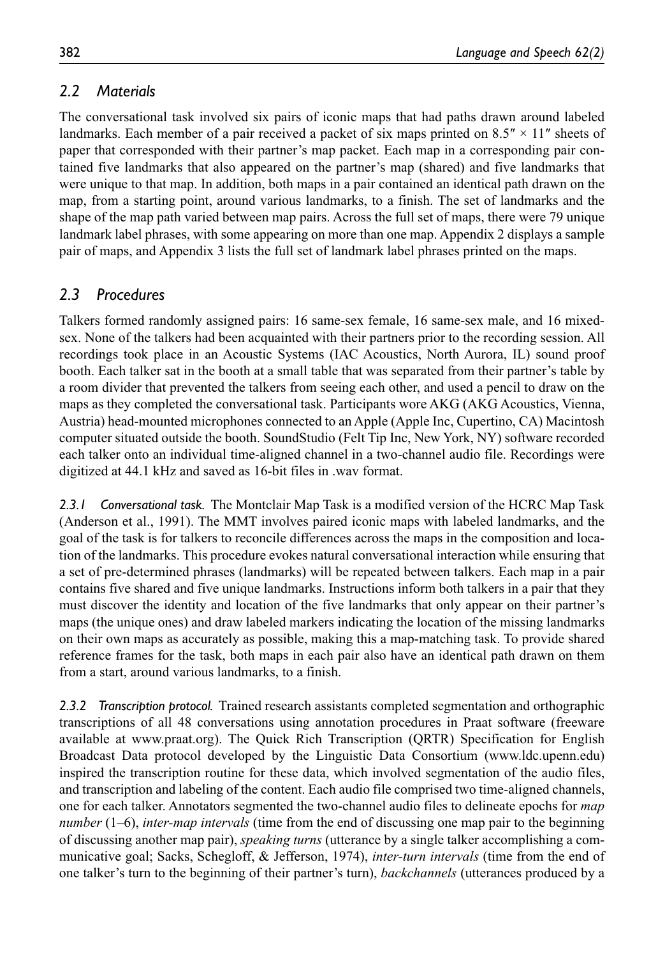# *2.2 Materials*

The conversational task involved six pairs of iconic maps that had paths drawn around labeled landmarks. Each member of a pair received a packet of six maps printed on  $8.5'' \times 11''$  sheets of paper that corresponded with their partner's map packet. Each map in a corresponding pair contained five landmarks that also appeared on the partner's map (shared) and five landmarks that were unique to that map. In addition, both maps in a pair contained an identical path drawn on the map, from a starting point, around various landmarks, to a finish. The set of landmarks and the shape of the map path varied between map pairs. Across the full set of maps, there were 79 unique landmark label phrases, with some appearing on more than one map. Appendix 2 displays a sample pair of maps, and Appendix 3 lists the full set of landmark label phrases printed on the maps.

# *2.3 Procedures*

Talkers formed randomly assigned pairs: 16 same-sex female, 16 same-sex male, and 16 mixedsex. None of the talkers had been acquainted with their partners prior to the recording session. All recordings took place in an Acoustic Systems (IAC Acoustics, North Aurora, IL) sound proof booth. Each talker sat in the booth at a small table that was separated from their partner's table by a room divider that prevented the talkers from seeing each other, and used a pencil to draw on the maps as they completed the conversational task. Participants wore AKG (AKG Acoustics, Vienna, Austria) head-mounted microphones connected to an Apple (Apple Inc, Cupertino, CA) Macintosh computer situated outside the booth. SoundStudio (Felt Tip Inc, New York, NY) software recorded each talker onto an individual time-aligned channel in a two-channel audio file. Recordings were digitized at 44.1 kHz and saved as 16-bit files in .wav format.

*2.3.1 Conversational task.* The Montclair Map Task is a modified version of the HCRC Map Task (Anderson et al., 1991). The MMT involves paired iconic maps with labeled landmarks, and the goal of the task is for talkers to reconcile differences across the maps in the composition and location of the landmarks. This procedure evokes natural conversational interaction while ensuring that a set of pre-determined phrases (landmarks) will be repeated between talkers. Each map in a pair contains five shared and five unique landmarks. Instructions inform both talkers in a pair that they must discover the identity and location of the five landmarks that only appear on their partner's maps (the unique ones) and draw labeled markers indicating the location of the missing landmarks on their own maps as accurately as possible, making this a map-matching task. To provide shared reference frames for the task, both maps in each pair also have an identical path drawn on them from a start, around various landmarks, to a finish.

*2.3.2 Transcription protocol.* Trained research assistants completed segmentation and orthographic transcriptions of all 48 conversations using annotation procedures in Praat software (freeware available at [www.praat.org\)](www.praat.org). The Quick Rich Transcription (QRTR) Specification for English Broadcast Data protocol developed by the Linguistic Data Consortium ([www.ldc.upenn.edu\)](www.ldc.upenn.edu) inspired the transcription routine for these data, which involved segmentation of the audio files, and transcription and labeling of the content. Each audio file comprised two time-aligned channels, one for each talker. Annotators segmented the two-channel audio files to delineate epochs for )  [inspired the transcription routine for these data, which involved segmentation of the audio files,](www.ldc.upenn.edu) inspired the transcription routine for these data, which involved segmentation of the audio files, and transcription and labeling of the content. Each audio file comprised two time-aligned channels, one for each talker. Annotators segmented the two-channel audio files to delineate epochs for )  [and transcription and labeling of the content. Each audio file comprised two time-aligned channels,](www.ldc.upenn.edu) inspired the transcription routine for these data, which involved segmentation of the audio files, and transcription and labeling of the content. Each audio file comprised two time-aligned channels, one for each talker. Annotators segmented the two-channel audio files to delineate epochs for )  [one for each talker. Annotators segmented the two-channel audio files to delineate epochs for](www.ldc.upenn.edu) inspired the transcription routine for these data, which involved segmentation of the audio files, and transcription and labeling of the content. Each audio file comprised two time-aligned channels, one for each talker. Annotators segmented the two-channel audio files to delineate epochs for ) *map number* (1–6), *inter-map intervals* (time from the end of discussing one map pair to the beginning of discussing another map pair), *speaking turns* (utterance by a single talker accomplishing a communicative goal; Sacks, Schegloff, & Jefferson, 1974), *inter-turn intervals* (time from the end of one talker's turn to the beginning of their partner's turn), *backchannels* (utterances produced by a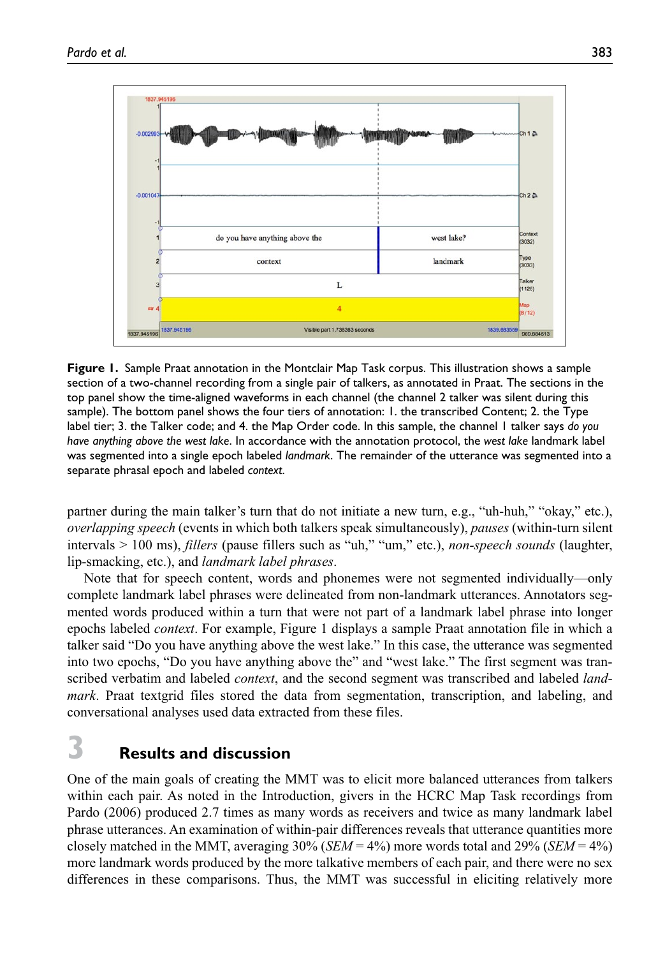

**Figure 1.** Sample Praat annotation in the Montclair Map Task corpus. This illustration shows a sample section of a two-channel recording from a single pair of talkers, as annotated in Praat. The sections in the top panel show the time-aligned waveforms in each channel (the channel 2 talker was silent during this sample). The bottom panel shows the four tiers of annotation: 1. the transcribed Content; 2. the Type label tier; 3. the Talker code; and 4. the Map Order code. In this sample, the channel 1 talker says *do you have anything above the west lake*. In accordance with the annotation protocol, the *west lake* landmark label was segmented into a single epoch labeled *landmark*. The remainder of the utterance was segmented into a separate phrasal epoch and labeled *context*.

partner during the main talker's turn that do not initiate a new turn, e.g., "uh-huh," "okay," etc.), *overlapping speech* (events in which both talkers speak simultaneously), *pauses* (within-turn silent intervals > 100 ms), *fillers* (pause fillers such as "uh," "um," etc.), *non-speech sounds* (laughter, lip-smacking, etc.), and *landmark label phrases*.

Note that for speech content, words and phonemes were not segmented individually—only complete landmark label phrases were delineated from non-landmark utterances. Annotators segmented words produced within a turn that were not part of a landmark label phrase into longer epochs labeled *context*. For example, Figure 1 displays a sample Praat annotation file in which a talker said "Do you have anything above the west lake." In this case, the utterance was segmented into two epochs, "Do you have anything above the" and "west lake." The first segment was transcribed verbatim and labeled *context*, and the second segment was transcribed and labeled *landmark*. Praat textgrid files stored the data from segmentation, transcription, and labeling, and conversational analyses used data extracted from these files.

# **3 Results and discussion**

One of the main goals of creating the MMT was to elicit more balanced utterances from talkers within each pair. As noted in the Introduction, givers in the HCRC Map Task recordings from Pardo (2006) produced 2.7 times as many words as receivers and twice as many landmark label phrase utterances. An examination of within-pair differences reveals that utterance quantities more closely matched in the MMT, averaging 30% (*SEM* = 4%) more words total and 29% (*SEM* = 4%) more landmark words produced by the more talkative members of each pair, and there were no sex differences in these comparisons. Thus, the MMT was successful in eliciting relatively more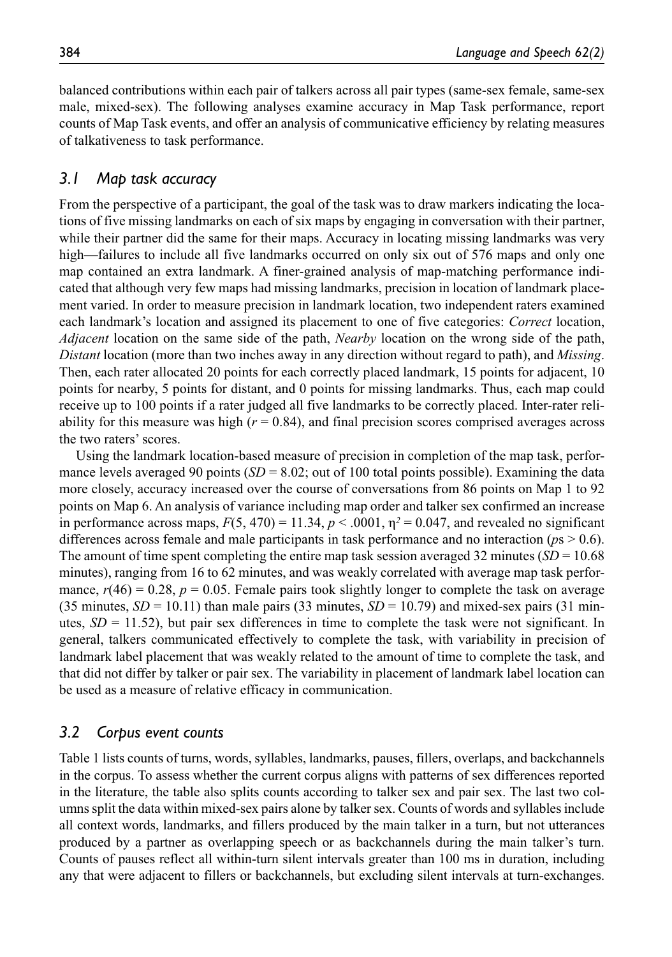balanced contributions within each pair of talkers across all pair types (same-sex female, same-sex male, mixed-sex). The following analyses examine accuracy in Map Task performance, report counts of Map Task events, and offer an analysis of communicative efficiency by relating measures of talkativeness to task performance.

#### *3.1 Map task accuracy*

From the perspective of a participant, the goal of the task was to draw markers indicating the locations of five missing landmarks on each of six maps by engaging in conversation with their partner, while their partner did the same for their maps. Accuracy in locating missing landmarks was very high—failures to include all five landmarks occurred on only six out of 576 maps and only one map contained an extra landmark. A finer-grained analysis of map-matching performance indicated that although very few maps had missing landmarks, precision in location of landmark placement varied. In order to measure precision in landmark location, two independent raters examined each landmark's location and assigned its placement to one of five categories: *Correct* location, *Adjacent* location on the same side of the path, *Nearby* location on the wrong side of the path, *Distant* location (more than two inches away in any direction without regard to path), and *Missing*. Then, each rater allocated 20 points for each correctly placed landmark, 15 points for adjacent, 10 points for nearby, 5 points for distant, and 0 points for missing landmarks. Thus, each map could receive up to 100 points if a rater judged all five landmarks to be correctly placed. Inter-rater reliability for this measure was high  $(r = 0.84)$ , and final precision scores comprised averages across the two raters' scores.

Using the landmark location-based measure of precision in completion of the map task, performance levels averaged 90 points  $(SD = 8.02)$ ; out of 100 total points possible). Examining the data more closely, accuracy increased over the course of conversations from 86 points on Map 1 to 92 points on Map 6. An analysis of variance including map order and talker sex confirmed an increase in performance across maps,  $F(5, 470) = 11.34$ ,  $p < .0001$ ,  $\eta^2 = 0.047$ , and revealed no significant differences across female and male participants in task performance and no interaction (*p*s > 0.6). The amount of time spent completing the entire map task session averaged 32 minutes  $(SD = 10.68$ minutes), ranging from 16 to 62 minutes, and was weakly correlated with average map task performance,  $r(46) = 0.28$ ,  $p = 0.05$ . Female pairs took slightly longer to complete the task on average (35 minutes,  $SD = 10.11$ ) than male pairs (33 minutes,  $SD = 10.79$ ) and mixed-sex pairs (31 minutes,  $SD = 11.52$ ), but pair sex differences in time to complete the task were not significant. In general, talkers communicated effectively to complete the task, with variability in precision of landmark label placement that was weakly related to the amount of time to complete the task, and that did not differ by talker or pair sex. The variability in placement of landmark label location can be used as a measure of relative efficacy in communication.

#### *3.2 Corpus event counts*

Table 1 lists counts of turns, words, syllables, landmarks, pauses, fillers, overlaps, and backchannels in the corpus. To assess whether the current corpus aligns with patterns of sex differences reported in the literature, the table also splits counts according to talker sex and pair sex. The last two columns split the data within mixed-sex pairs alone by talker sex. Counts of words and syllables include all context words, landmarks, and fillers produced by the main talker in a turn, but not utterances produced by a partner as overlapping speech or as backchannels during the main talker's turn. Counts of pauses reflect all within-turn silent intervals greater than 100 ms in duration, including any that were adjacent to fillers or backchannels, but excluding silent intervals at turn-exchanges.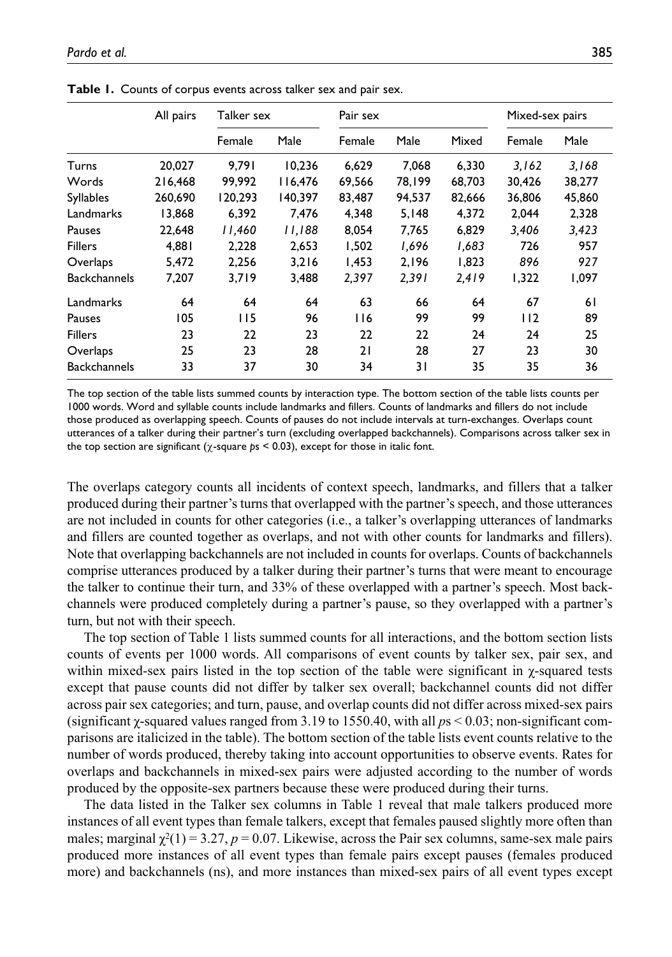|                     | All pairs | Talker sex |         | Pair sex   |                 |        | Mixed-sex pairs |        |
|---------------------|-----------|------------|---------|------------|-----------------|--------|-----------------|--------|
|                     |           | Female     | Male    | Female     | Male            | Mixed  | Female          | Male   |
| Turns               | 20,027    | 9.791      | 10,236  | 6,629      | 7,068           | 6,330  | 3,162           | 3,168  |
| Words               | 216,468   | 99.992     | 116.476 | 69.566     | 78.199          | 68,703 | 30.426          | 38,277 |
| <b>Syllables</b>    | 260,690   | 120.293    | 140.397 | 83,487     | 94,537          | 82.666 | 36.806          | 45,860 |
| Landmarks           | 13,868    | 6.392      | 7.476   | 4.348      | 5.148           | 4.372  | 2.044           | 2,328  |
| Pauses              | 22,648    | 11,460     | 11,188  | 8,054      | 7,765           | 6,829  | 3,406           | 3,423  |
| <b>Fillers</b>      | 4,881     | 2.228      | 2.653   | 1.502      | 1,696           | 1,683  | 726             | 957    |
| Overlaps            | 5,472     | 2.256      | 3,216   | 1.453      | 2,196           | 1.823  | 896             | 927    |
| <b>Backchannels</b> | 7,207     | 3.719      | 3,488   | 2,397      | 2,391           | 2,419  | 1,322           | 1,097  |
| Landmarks           | 64        | 64         | 64      | 63         | 66              | 64     | 67              | 61     |
| Pauses              | 105       | 115        | 96      | <b>116</b> | 99              | 99     | 112             | 89     |
| <b>Fillers</b>      | 23        | 22         | 23      | 22         | 22              | 24     | 24              | 25     |
| Overlaps            | 25        | 23         | 28      | 21         | 28              | 27     | 23              | 30     |
| <b>Backchannels</b> | 33        | 37         | 30      | 34         | $\overline{3}1$ | 35     | 35              | 36     |

**Table 1.** Counts of corpus events across talker sex and pair sex.

The top section of the table lists summed counts by interaction type. The bottom section of the table lists counts per 1000 words. Word and syllable counts include landmarks and fillers. Counts of landmarks and fillers do not include those produced as overlapping speech. Counts of pauses do not include intervals at turn-exchanges. Overlaps count utterances of a talker during their partner's turn (excluding overlapped backchannels). Comparisons across talker sex in the top section are significant (χ-square *p*s < 0.03), except for those in italic font.

The overlaps category counts all incidents of context speech, landmarks, and fillers that a talker produced during their partner's turns that overlapped with the partner's speech, and those utterances are not included in counts for other categories (i.e., a talker's overlapping utterances of landmarks and fillers are counted together as overlaps, and not with other counts for landmarks and fillers). Note that overlapping backchannels are not included in counts for overlaps. Counts of backchannels comprise utterances produced by a talker during their partner's turns that were meant to encourage the talker to continue their turn, and 33% of these overlapped with a partner's speech. Most backchannels were produced completely during a partner's pause, so they overlapped with a partner's turn, but not with their speech.

The top section of Table 1 lists summed counts for all interactions, and the bottom section lists counts of events per 1000 words. All comparisons of event counts by talker sex, pair sex, and within mixed-sex pairs listed in the top section of the table were significant in  $\chi$ -squared tests except that pause counts did not differ by talker sex overall; backchannel counts did not differ across pair sex categories; and turn, pause, and overlap counts did not differ across mixed-sex pairs (significant χ-squared values ranged from 3.19 to 1550.40, with all *p*s < 0.03; non-significant comparisons are italicized in the table). The bottom section of the table lists event counts relative to the number of words produced, thereby taking into account opportunities to observe events. Rates for overlaps and backchannels in mixed-sex pairs were adjusted according to the number of words produced by the opposite-sex partners because these were produced during their turns.

The data listed in the Talker sex columns in Table 1 reveal that male talkers produced more instances of all event types than female talkers, except that females paused slightly more often than males; marginal  $\chi^2(1) = 3.27$ ,  $p = 0.07$ . Likewise, across the Pair sex columns, same-sex male pairs produced more instances of all event types than female pairs except pauses (females produced more) and backchannels (ns), and more instances than mixed-sex pairs of all event types except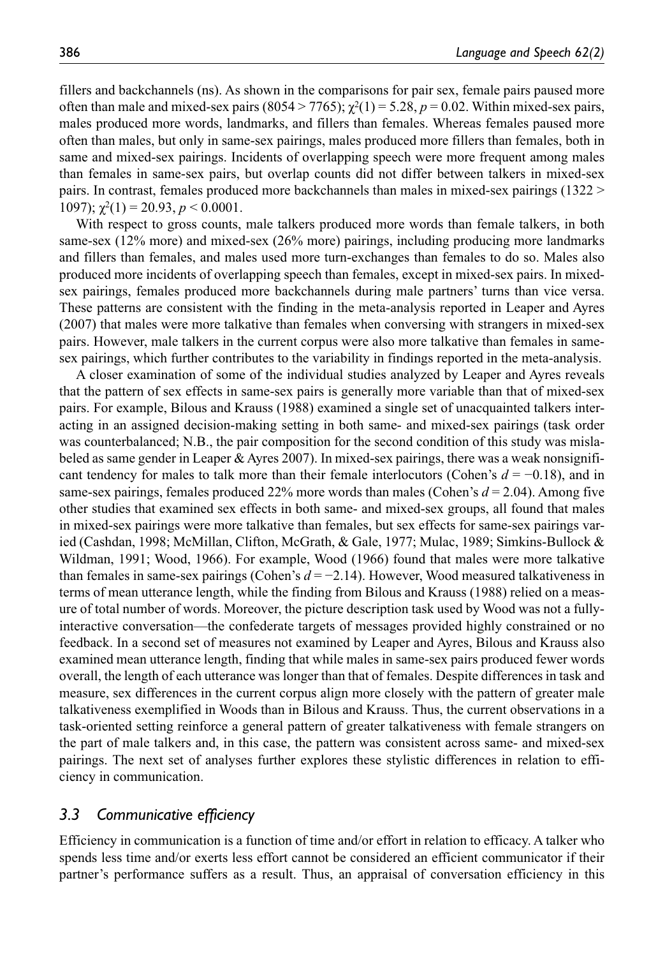fillers and backchannels (ns). As shown in the comparisons for pair sex, female pairs paused more often than male and mixed-sex pairs (8054 > 7765);  $\chi^2(1) = 5.28$ ,  $p = 0.02$ . Within mixed-sex pairs, males produced more words, landmarks, and fillers than females. Whereas females paused more often than males, but only in same-sex pairings, males produced more fillers than females, both in same and mixed-sex pairings. Incidents of overlapping speech were more frequent among males than females in same-sex pairs, but overlap counts did not differ between talkers in mixed-sex pairs. In contrast, females produced more backchannels than males in mixed-sex pairings (1322 > 1097);  $\chi^2(1) = 20.93$ ,  $p < 0.0001$ .

With respect to gross counts, male talkers produced more words than female talkers, in both same-sex (12% more) and mixed-sex (26% more) pairings, including producing more landmarks and fillers than females, and males used more turn-exchanges than females to do so. Males also produced more incidents of overlapping speech than females, except in mixed-sex pairs. In mixedsex pairings, females produced more backchannels during male partners' turns than vice versa. These patterns are consistent with the finding in the meta-analysis reported in Leaper and Ayres (2007) that males were more talkative than females when conversing with strangers in mixed-sex pairs. However, male talkers in the current corpus were also more talkative than females in samesex pairings, which further contributes to the variability in findings reported in the meta-analysis.

A closer examination of some of the individual studies analyzed by Leaper and Ayres reveals that the pattern of sex effects in same-sex pairs is generally more variable than that of mixed-sex pairs. For example, Bilous and Krauss (1988) examined a single set of unacquainted talkers interacting in an assigned decision-making setting in both same- and mixed-sex pairings (task order was counterbalanced; N.B., the pair composition for the second condition of this study was mislabeled as same gender in Leaper & Ayres 2007). In mixed-sex pairings, there was a weak nonsignificant tendency for males to talk more than their female interlocutors (Cohen's  $d = -0.18$ ), and in same-sex pairings, females produced 22% more words than males (Cohen's *d* = 2.04). Among five other studies that examined sex effects in both same- and mixed-sex groups, all found that males in mixed-sex pairings were more talkative than females, but sex effects for same-sex pairings varied (Cashdan, 1998; McMillan, Clifton, McGrath, & Gale, 1977; Mulac, 1989; Simkins-Bullock & Wildman, 1991; Wood, 1966). For example, Wood (1966) found that males were more talkative than females in same-sex pairings (Cohen's  $d = -2.14$ ). However, Wood measured talkativeness in terms of mean utterance length, while the finding from Bilous and Krauss (1988) relied on a measure of total number of words. Moreover, the picture description task used by Wood was not a fullyinteractive conversation—the confederate targets of messages provided highly constrained or no feedback. In a second set of measures not examined by Leaper and Ayres, Bilous and Krauss also examined mean utterance length, finding that while males in same-sex pairs produced fewer words overall, the length of each utterance was longer than that of females. Despite differences in task and measure, sex differences in the current corpus align more closely with the pattern of greater male talkativeness exemplified in Woods than in Bilous and Krauss. Thus, the current observations in a task-oriented setting reinforce a general pattern of greater talkativeness with female strangers on the part of male talkers and, in this case, the pattern was consistent across same- and mixed-sex pairings. The next set of analyses further explores these stylistic differences in relation to efficiency in communication.

#### *3.3 Communicative efficiency*

Efficiency in communication is a function of time and/or effort in relation to efficacy. A talker who spends less time and/or exerts less effort cannot be considered an efficient communicator if their partner's performance suffers as a result. Thus, an appraisal of conversation efficiency in this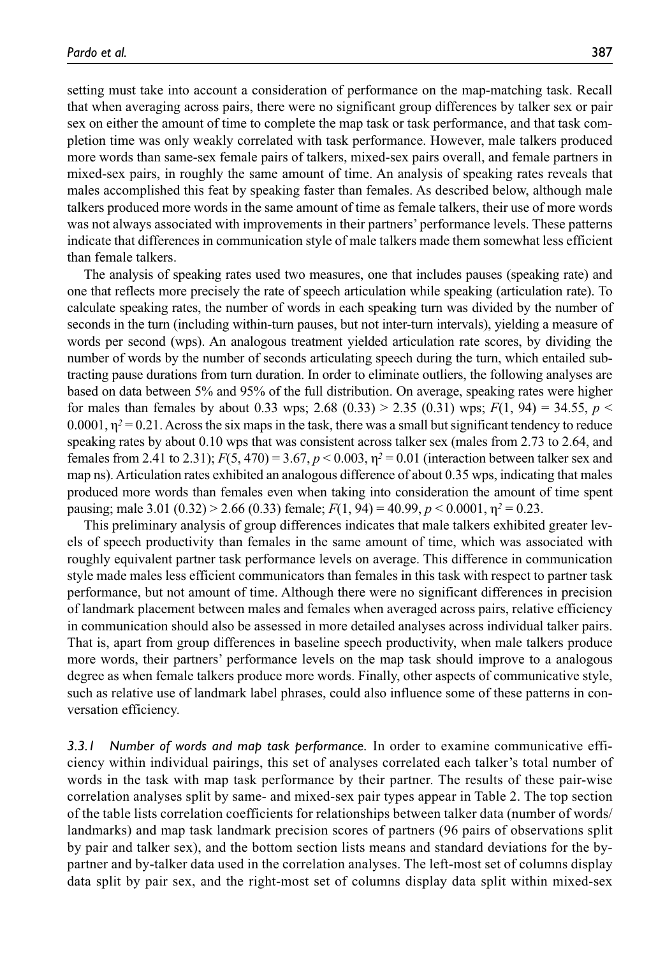setting must take into account a consideration of performance on the map-matching task. Recall that when averaging across pairs, there were no significant group differences by talker sex or pair sex on either the amount of time to complete the map task or task performance, and that task completion time was only weakly correlated with task performance. However, male talkers produced more words than same-sex female pairs of talkers, mixed-sex pairs overall, and female partners in mixed-sex pairs, in roughly the same amount of time. An analysis of speaking rates reveals that males accomplished this feat by speaking faster than females. As described below, although male talkers produced more words in the same amount of time as female talkers, their use of more words was not always associated with improvements in their partners' performance levels. These patterns indicate that differences in communication style of male talkers made them somewhat less efficient than female talkers.

The analysis of speaking rates used two measures, one that includes pauses (speaking rate) and one that reflects more precisely the rate of speech articulation while speaking (articulation rate). To calculate speaking rates, the number of words in each speaking turn was divided by the number of seconds in the turn (including within-turn pauses, but not inter-turn intervals), yielding a measure of words per second (wps). An analogous treatment yielded articulation rate scores, by dividing the number of words by the number of seconds articulating speech during the turn, which entailed subtracting pause durations from turn duration. In order to eliminate outliers, the following analyses are based on data between 5% and 95% of the full distribution. On average, speaking rates were higher for males than females by about 0.33 wps; 2.68 (0.33) > 2.35 (0.31) wps;  $F(1, 94) = 34.55$ ,  $p <$  $0.0001$ ,  $\eta^2$  = 0.21. Across the six maps in the task, there was a small but significant tendency to reduce speaking rates by about 0.10 wps that was consistent across talker sex (males from 2.73 to 2.64, and females from 2.41 to 2.31); *F*(5, 470) = 3.67, *p* < 0.003, η*2* = 0.01 (interaction between talker sex and map ns). Articulation rates exhibited an analogous difference of about 0.35 wps, indicating that males produced more words than females even when taking into consideration the amount of time spent pausing; male 3.01 (0.32) > 2.66 (0.33) female; *F*(1, 94) = 40.99, *p* < 0.0001, η*2* = 0.23.

This preliminary analysis of group differences indicates that male talkers exhibited greater levels of speech productivity than females in the same amount of time, which was associated with roughly equivalent partner task performance levels on average. This difference in communication style made males less efficient communicators than females in this task with respect to partner task performance, but not amount of time. Although there were no significant differences in precision of landmark placement between males and females when averaged across pairs, relative efficiency in communication should also be assessed in more detailed analyses across individual talker pairs. That is, apart from group differences in baseline speech productivity, when male talkers produce more words, their partners' performance levels on the map task should improve to a analogous degree as when female talkers produce more words. Finally, other aspects of communicative style, such as relative use of landmark label phrases, could also influence some of these patterns in conversation efficiency.

*3.3.1 Number of words and map task performance.* In order to examine communicative efficiency within individual pairings, this set of analyses correlated each talker's total number of words in the task with map task performance by their partner. The results of these pair-wise correlation analyses split by same- and mixed-sex pair types appear in Table 2. The top section of the table lists correlation coefficients for relationships between talker data (number of words/ landmarks) and map task landmark precision scores of partners (96 pairs of observations split by pair and talker sex), and the bottom section lists means and standard deviations for the bypartner and by-talker data used in the correlation analyses. The left-most set of columns display data split by pair sex, and the right-most set of columns display data split within mixed-sex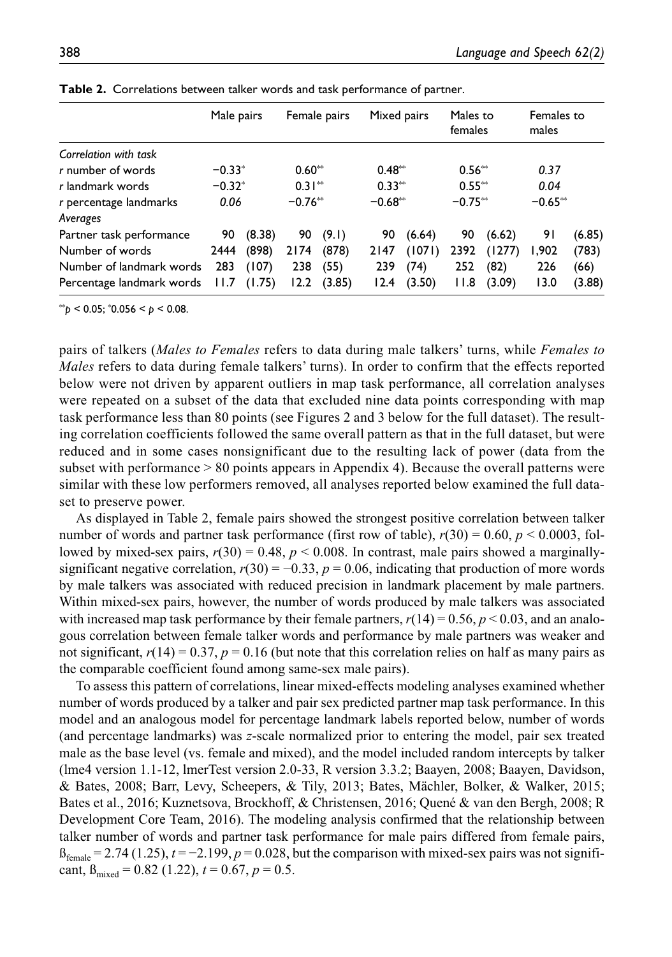| -- |  |  |
|----|--|--|

|                           | Male pairs |        |           | Female pairs | Mixed pairs |        | Males to<br>females |        | Females to<br>males |        |
|---------------------------|------------|--------|-----------|--------------|-------------|--------|---------------------|--------|---------------------|--------|
| Correlation with task     |            |        |           |              |             |        |                     |        |                     |        |
| r number of words         | $-0.33*$   |        | $0.60**$  |              | $0.48**$    |        | $0.56**$            |        | 0.37                |        |
| r landmark words          | $-0.32*$   |        | $0.31**$  |              | $0.33**$    |        | $0.55**$            |        | 0.04                |        |
| r percentage landmarks    | 0.06       |        | $-0.76**$ |              | $-0.68**$   |        | $-0.75**$           |        | $-0.65**$           |        |
| Averages                  |            |        |           |              |             |        |                     |        |                     |        |
| Partner task performance  | 90         | (8.38) | 90        | (9.1)        | 90          | (6.64) | 90                  | (6.62) | 91                  | (6.85) |
| Number of words           | 2444       | (898)  | 2174      | (878)        | 2147        | (1071) | 2392                | (1277) | 1.902               | (783)  |
| Number of landmark words  | 283        | (107)  | 238       | (55)         | 239         | (74)   | 252                 | (82)   | 226                 | (66)   |
| Percentage landmark words | 11.7       | (1.75) | 12.2      | (3.85)       | 12.4        | (3.50) | 11.8                | (3.09) | 13.0                | (3.88) |

**Table 2.** Correlations between talker words and task performance of partner.

\*\**p* < 0.05; \* 0.056 < *p* < 0.08.

pairs of talkers (*Males to Females* refers to data during male talkers' turns, while *Females to Males* refers to data during female talkers' turns). In order to confirm that the effects reported below were not driven by apparent outliers in map task performance, all correlation analyses were repeated on a subset of the data that excluded nine data points corresponding with map task performance less than 80 points (see Figures 2 and 3 below for the full dataset). The resulting correlation coefficients followed the same overall pattern as that in the full dataset, but were reduced and in some cases nonsignificant due to the resulting lack of power (data from the subset with performance > 80 points appears in Appendix 4). Because the overall patterns were similar with these low performers removed, all analyses reported below examined the full dataset to preserve power.

As displayed in Table 2, female pairs showed the strongest positive correlation between talker number of words and partner task performance (first row of table),  $r(30) = 0.60$ ,  $p < 0.0003$ , followed by mixed-sex pairs,  $r(30) = 0.48$ ,  $p < 0.008$ . In contrast, male pairs showed a marginallysignificant negative correlation,  $r(30) = -0.33$ ,  $p = 0.06$ , indicating that production of more words by male talkers was associated with reduced precision in landmark placement by male partners. Within mixed-sex pairs, however, the number of words produced by male talkers was associated with increased map task performance by their female partners,  $r(14) = 0.56$ ,  $p < 0.03$ , and an analogous correlation between female talker words and performance by male partners was weaker and not significant,  $r(14) = 0.37$ ,  $p = 0.16$  (but note that this correlation relies on half as many pairs as the comparable coefficient found among same-sex male pairs).

To assess this pattern of correlations, linear mixed-effects modeling analyses examined whether number of words produced by a talker and pair sex predicted partner map task performance. In this model and an analogous model for percentage landmark labels reported below, number of words (and percentage landmarks) was *z*-scale normalized prior to entering the model, pair sex treated male as the base level (vs. female and mixed), and the model included random intercepts by talker (lme4 version 1.1-12, lmerTest version 2.0-33, R version 3.3.2; Baayen, 2008; Baayen, Davidson, & Bates, 2008; Barr, Levy, Scheepers, & Tily, 2013; Bates, Mächler, Bolker, & Walker, 2015; Bates et al., 2016; Kuznetsova, Brockhoff, & Christensen, 2016; Quené & van den Bergh, 2008; R Development Core Team, 2016). The modeling analysis confirmed that the relationship between talker number of words and partner task performance for male pairs differed from female pairs,  $B_{\text{female}} = 2.74 (1.25), t = -2.199, p = 0.028$ , but the comparison with mixed-sex pairs was not significant,  $\beta_{mixed} = 0.82$  (1.22),  $t = 0.67$ ,  $p = 0.5$ .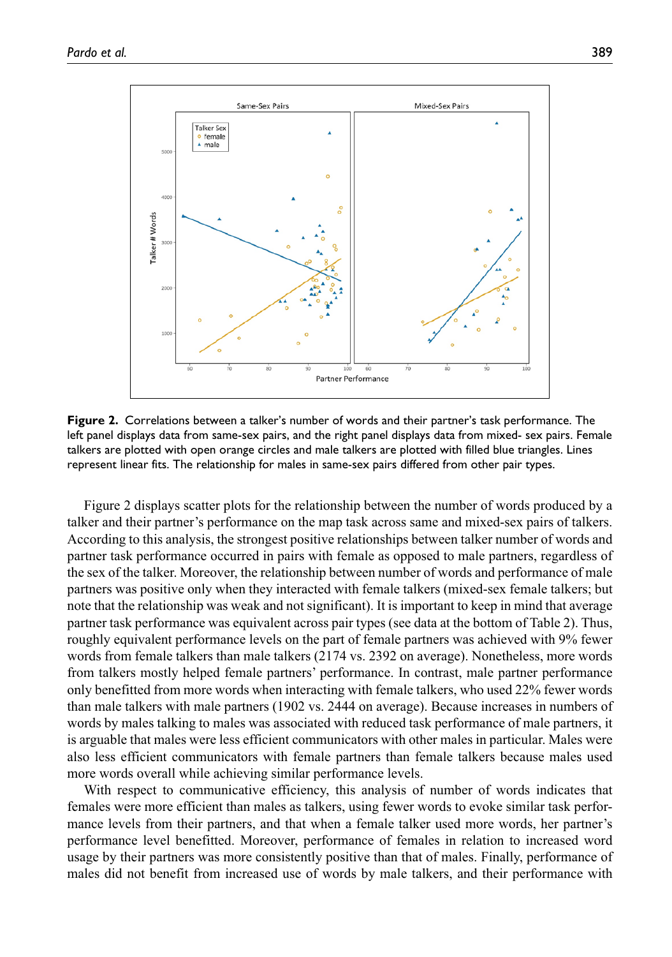

**Figure 2.** Correlations between a talker's number of words and their partner's task performance. The left panel displays data from same-sex pairs, and the right panel displays data from mixed- sex pairs. Female talkers are plotted with open orange circles and male talkers are plotted with filled blue triangles. Lines represent linear fits. The relationship for males in same-sex pairs differed from other pair types.

Figure 2 displays scatter plots for the relationship between the number of words produced by a talker and their partner's performance on the map task across same and mixed-sex pairs of talkers. According to this analysis, the strongest positive relationships between talker number of words and partner task performance occurred in pairs with female as opposed to male partners, regardless of the sex of the talker. Moreover, the relationship between number of words and performance of male partners was positive only when they interacted with female talkers (mixed-sex female talkers; but note that the relationship was weak and not significant). It is important to keep in mind that average partner task performance was equivalent across pair types (see data at the bottom of Table 2). Thus, roughly equivalent performance levels on the part of female partners was achieved with 9% fewer words from female talkers than male talkers (2174 vs. 2392 on average). Nonetheless, more words from talkers mostly helped female partners' performance. In contrast, male partner performance only benefitted from more words when interacting with female talkers, who used 22% fewer words than male talkers with male partners (1902 vs. 2444 on average). Because increases in numbers of words by males talking to males was associated with reduced task performance of male partners, it is arguable that males were less efficient communicators with other males in particular. Males were also less efficient communicators with female partners than female talkers because males used more words overall while achieving similar performance levels.

With respect to communicative efficiency, this analysis of number of words indicates that females were more efficient than males as talkers, using fewer words to evoke similar task performance levels from their partners, and that when a female talker used more words, her partner's performance level benefitted. Moreover, performance of females in relation to increased word usage by their partners was more consistently positive than that of males. Finally, performance of males did not benefit from increased use of words by male talkers, and their performance with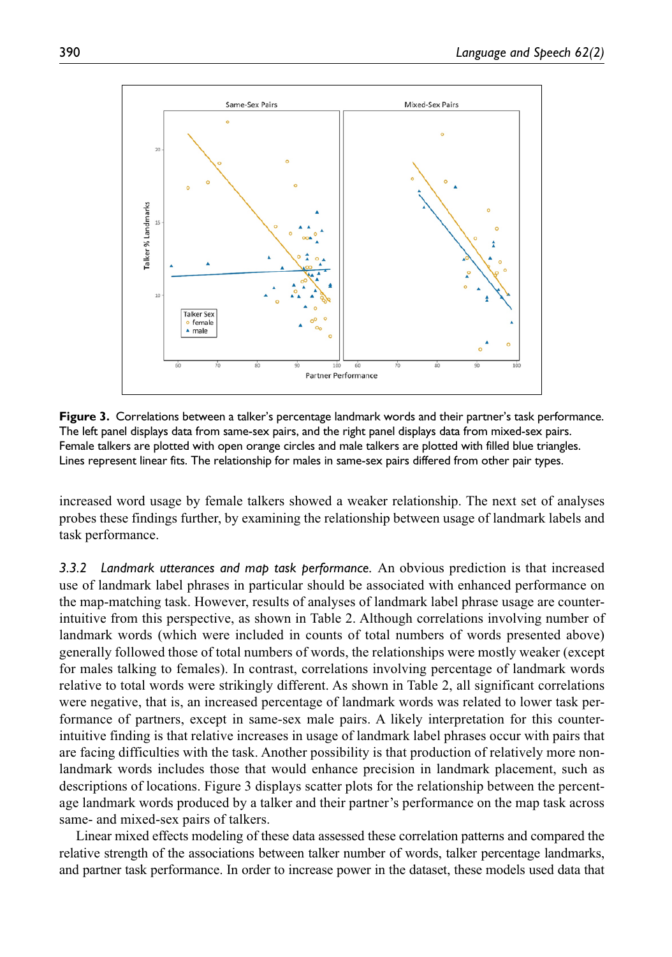

**Figure 3.** Correlations between a talker's percentage landmark words and their partner's task performance. The left panel displays data from same-sex pairs, and the right panel displays data from mixed-sex pairs. Female talkers are plotted with open orange circles and male talkers are plotted with filled blue triangles. Lines represent linear fits. The relationship for males in same-sex pairs differed from other pair types.

increased word usage by female talkers showed a weaker relationship. The next set of analyses probes these findings further, by examining the relationship between usage of landmark labels and task performance.

*3.3.2 Landmark utterances and map task performance.* An obvious prediction is that increased use of landmark label phrases in particular should be associated with enhanced performance on the map-matching task. However, results of analyses of landmark label phrase usage are counterintuitive from this perspective, as shown in Table 2. Although correlations involving number of landmark words (which were included in counts of total numbers of words presented above) generally followed those of total numbers of words, the relationships were mostly weaker (except for males talking to females). In contrast, correlations involving percentage of landmark words relative to total words were strikingly different. As shown in Table 2, all significant correlations were negative, that is, an increased percentage of landmark words was related to lower task performance of partners, except in same-sex male pairs. A likely interpretation for this counterintuitive finding is that relative increases in usage of landmark label phrases occur with pairs that are facing difficulties with the task. Another possibility is that production of relatively more nonlandmark words includes those that would enhance precision in landmark placement, such as descriptions of locations. Figure 3 displays scatter plots for the relationship between the percentage landmark words produced by a talker and their partner's performance on the map task across same- and mixed-sex pairs of talkers.

Linear mixed effects modeling of these data assessed these correlation patterns and compared the relative strength of the associations between talker number of words, talker percentage landmarks, and partner task performance. In order to increase power in the dataset, these models used data that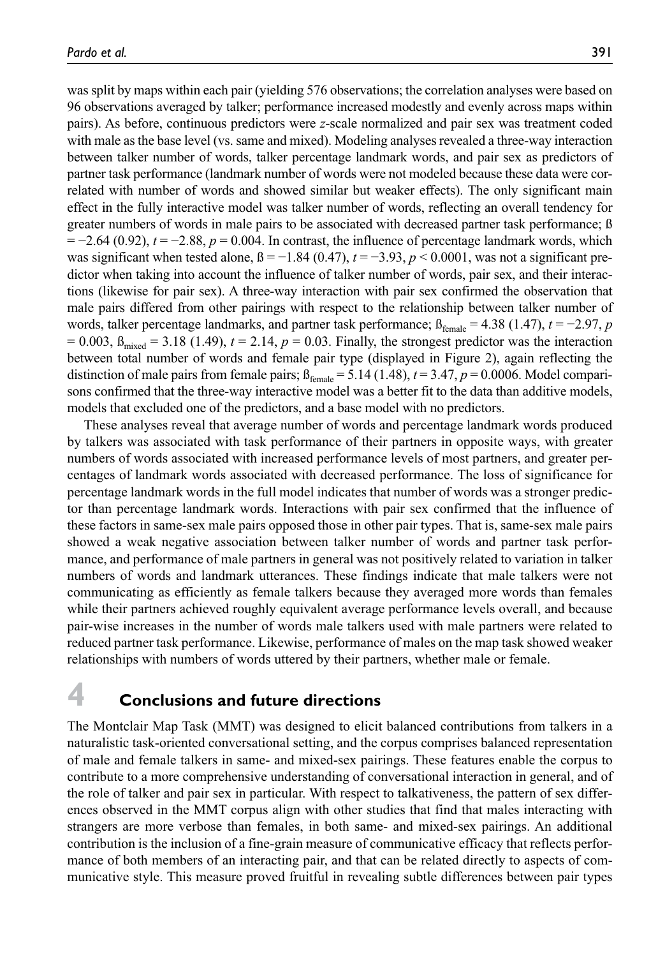was split by maps within each pair (yielding 576 observations; the correlation analyses were based on 96 observations averaged by talker; performance increased modestly and evenly across maps within pairs). As before, continuous predictors were *z*-scale normalized and pair sex was treatment coded with male as the base level (vs. same and mixed). Modeling analyses revealed a three-way interaction between talker number of words, talker percentage landmark words, and pair sex as predictors of partner task performance (landmark number of words were not modeled because these data were correlated with number of words and showed similar but weaker effects). The only significant main effect in the fully interactive model was talker number of words, reflecting an overall tendency for greater numbers of words in male pairs to be associated with decreased partner task performance; ß  $= -2.64 (0.92)$ ,  $t = -2.88$ ,  $p = 0.004$ . In contrast, the influence of percentage landmark words, which was significant when tested alone,  $\beta = -1.84$  (0.47),  $t = -3.93$ ,  $p < 0.0001$ , was not a significant predictor when taking into account the influence of talker number of words, pair sex, and their interactions (likewise for pair sex). A three-way interaction with pair sex confirmed the observation that male pairs differed from other pairings with respect to the relationship between talker number of words, talker percentage landmarks, and partner task performance;  $\beta_{\text{female}} = 4.38$  (1.47),  $t = -2.97$ , *p*  $= 0.003$ ,  $\beta_{mixed} = 3.18$  (1.49),  $t = 2.14$ ,  $p = 0.03$ . Finally, the strongest predictor was the interaction between total number of words and female pair type (displayed in Figure 2), again reflecting the distinction of male pairs from female pairs;  $\beta_{\text{female}} = 5.14$  (1.48),  $t = 3.47$ ,  $p = 0.0006$ . Model comparisons confirmed that the three-way interactive model was a better fit to the data than additive models, models that excluded one of the predictors, and a base model with no predictors.

These analyses reveal that average number of words and percentage landmark words produced by talkers was associated with task performance of their partners in opposite ways, with greater numbers of words associated with increased performance levels of most partners, and greater percentages of landmark words associated with decreased performance. The loss of significance for percentage landmark words in the full model indicates that number of words was a stronger predictor than percentage landmark words. Interactions with pair sex confirmed that the influence of these factors in same-sex male pairs opposed those in other pair types. That is, same-sex male pairs showed a weak negative association between talker number of words and partner task performance, and performance of male partners in general was not positively related to variation in talker numbers of words and landmark utterances. These findings indicate that male talkers were not communicating as efficiently as female talkers because they averaged more words than females while their partners achieved roughly equivalent average performance levels overall, and because pair-wise increases in the number of words male talkers used with male partners were related to reduced partner task performance. Likewise, performance of males on the map task showed weaker relationships with numbers of words uttered by their partners, whether male or female.

# **4 Conclusions and future directions**

The Montclair Map Task (MMT) was designed to elicit balanced contributions from talkers in a naturalistic task-oriented conversational setting, and the corpus comprises balanced representation of male and female talkers in same- and mixed-sex pairings. These features enable the corpus to contribute to a more comprehensive understanding of conversational interaction in general, and of the role of talker and pair sex in particular. With respect to talkativeness, the pattern of sex differences observed in the MMT corpus align with other studies that find that males interacting with strangers are more verbose than females, in both same- and mixed-sex pairings. An additional contribution is the inclusion of a fine-grain measure of communicative efficacy that reflects performance of both members of an interacting pair, and that can be related directly to aspects of communicative style. This measure proved fruitful in revealing subtle differences between pair types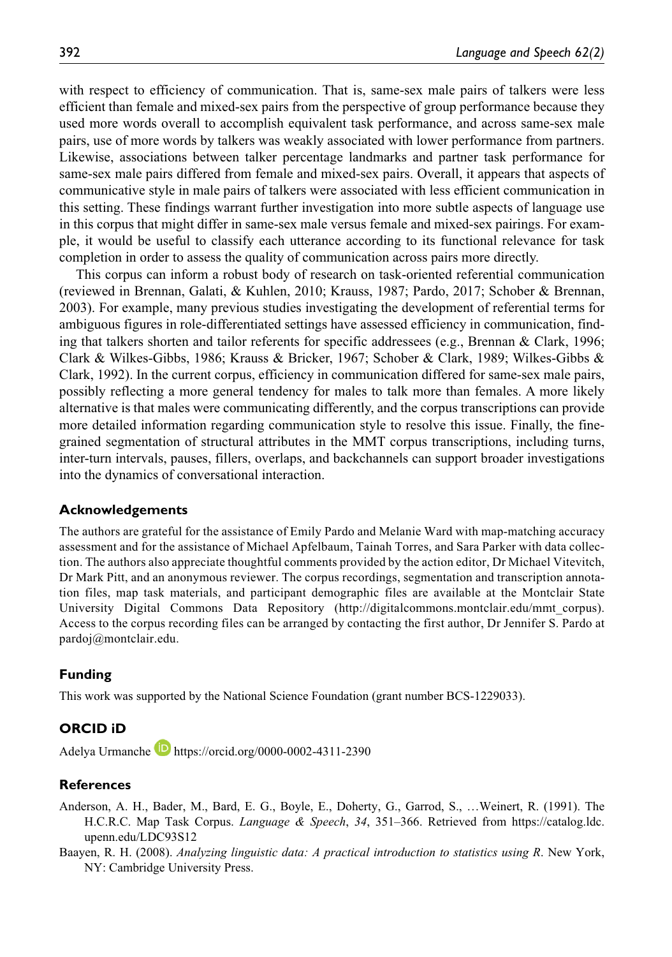with respect to efficiency of communication. That is, same-sex male pairs of talkers were less efficient than female and mixed-sex pairs from the perspective of group performance because they used more words overall to accomplish equivalent task performance, and across same-sex male pairs, use of more words by talkers was weakly associated with lower performance from partners. Likewise, associations between talker percentage landmarks and partner task performance for same-sex male pairs differed from female and mixed-sex pairs. Overall, it appears that aspects of communicative style in male pairs of talkers were associated with less efficient communication in this setting. These findings warrant further investigation into more subtle aspects of language use in this corpus that might differ in same-sex male versus female and mixed-sex pairings. For example, it would be useful to classify each utterance according to its functional relevance for task completion in order to assess the quality of communication across pairs more directly.

This corpus can inform a robust body of research on task-oriented referential communication (reviewed in Brennan, Galati, & Kuhlen, 2010; Krauss, 1987; Pardo, 2017; Schober & Brennan, 2003). For example, many previous studies investigating the development of referential terms for ambiguous figures in role-differentiated settings have assessed efficiency in communication, finding that talkers shorten and tailor referents for specific addressees (e.g., Brennan & Clark, 1996; Clark & Wilkes-Gibbs, 1986; Krauss & Bricker, 1967; Schober & Clark, 1989; Wilkes-Gibbs & Clark, 1992). In the current corpus, efficiency in communication differed for same-sex male pairs, possibly reflecting a more general tendency for males to talk more than females. A more likely alternative is that males were communicating differently, and the corpus transcriptions can provide more detailed information regarding communication style to resolve this issue. Finally, the finegrained segmentation of structural attributes in the MMT corpus transcriptions, including turns, inter-turn intervals, pauses, fillers, overlaps, and backchannels can support broader investigations into the dynamics of conversational interaction.

#### **Acknowledgements**

The authors are grateful for the assistance of Emily Pardo and Melanie Ward with map-matching accuracy assessment and for the assistance of Michael Apfelbaum, Tainah Torres, and Sara Parker with data collection. The authors also appreciate thoughtful comments provided by the action editor, Dr Michael Vitevitch, Dr Mark Pitt, and an anonymous reviewer. The corpus recordings, segmentation and transcription annotation files, map task materials, and participant demographic files are available at the Montclair State University Digital Commons Data Repository ([http://digitalcommons.montclair.edu/mmt\\_corpus](http://digitalcommons.montclair.edu/mmt_corpus)). Access to the corpus recording files can be arranged by contacting the first author, Dr Jennifer S. Pardo at [pardoj@montclair.edu](mailto:pardoj@montclair.edu).

#### **Funding**

This work was supported by the National Science Foundation (grant number BCS-1229033).

#### **ORCID iD**

Adelya Urmanche <https://orcid.org/0000-0002-4311-2390>

#### **References**

Anderson, A. H., Bader, M., Bard, E. G., Boyle, E., Doherty, G., Garrod, S., …Weinert, R. (1991). The H.C.R.C. Map Task Corpus. *Language & Speech*, *34*, 351–366. Retrieved from [https://catalog.ldc.](https://catalog.ldc.upenn.edu/LDC93S12) [upenn.edu/LDC93S12](https://catalog.ldc.upenn.edu/LDC93S12)

Baayen, R. H. (2008). *Analyzing linguistic data: A practical introduction to statistics using R*. New York, NY: Cambridge University Press.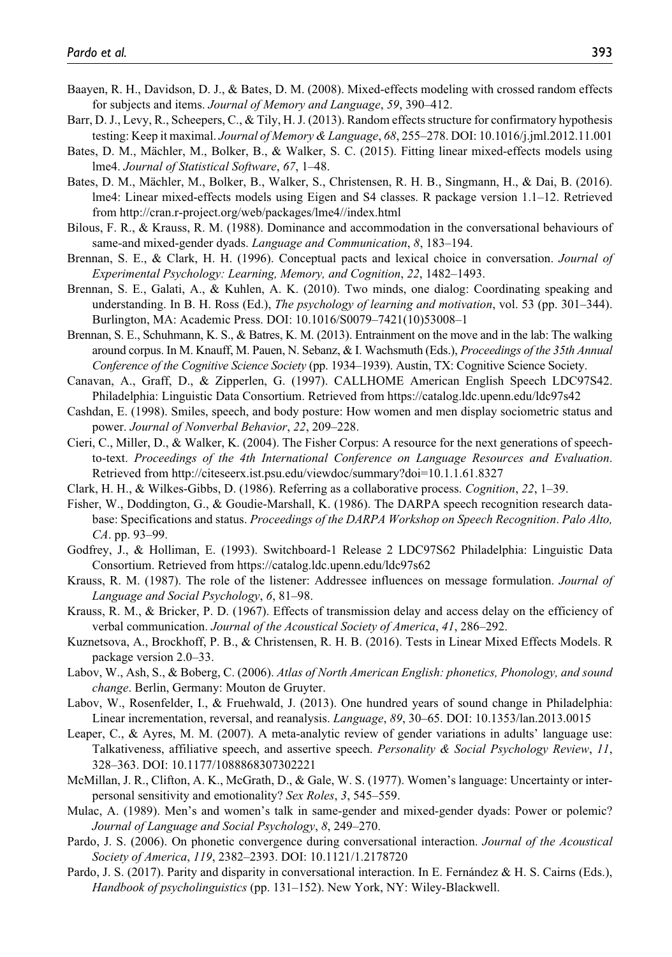- Baayen, R. H., Davidson, D. J., & Bates, D. M. (2008). Mixed-effects modeling with crossed random effects for subjects and items. *Journal of Memory and Language*, *59*, 390–412.
- Barr, D. J., Levy, R., Scheepers, C., & Tily, H. J. (2013). Random effects structure for confirmatory hypothesis testing: Keep it maximal. *Journal of Memory & Language*, *68*, 255–278. DOI: 10.1016/j.jml.2012.11.001
- Bates, D. M., Mächler, M., Bolker, B., & Walker, S. C. (2015). Fitting linear mixed-effects models using lme4. *Journal of Statistical Software*, *67*, 1–48.
- Bates, D. M., Mächler, M., Bolker, B., Walker, S., Christensen, R. H. B., Singmann, H., & Dai, B. (2016). lme4: Linear mixed-effects models using Eigen and S4 classes. R package version 1.1–12. Retrieved from <http://cran.r-project.org/web/packages/lme4//index.html>
- Bilous, F. R., & Krauss, R. M. (1988). Dominance and accommodation in the conversational behaviours of same-and mixed-gender dyads. *Language and Communication*, *8*, 183–194.
- Brennan, S. E., & Clark, H. H. (1996). Conceptual pacts and lexical choice in conversation. *Journal of Experimental Psychology: Learning, Memory, and Cognition*, *22*, 1482–1493.
- Brennan, S. E., Galati, A., & Kuhlen, A. K. (2010). Two minds, one dialog: Coordinating speaking and understanding. In B. H. Ross (Ed.), *The psychology of learning and motivation*, vol. 53 (pp. 301–344). Burlington, MA: Academic Press. DOI: 10.1016/S0079–7421(10)53008–1
- Brennan, S. E., Schuhmann, K. S., & Batres, K. M. (2013). Entrainment on the move and in the lab: The walking around corpus. In M. Knauff, M. Pauen, N. Sebanz, & I. Wachsmuth (Eds.), *Proceedings of the 35th Annual Conference of the Cognitive Science Society* (pp. 1934–1939). Austin, TX: Cognitive Science Society.
- Canavan, A., Graff, D., & Zipperlen, G. (1997). CALLHOME American English Speech LDC97S42. Philadelphia: Linguistic Data Consortium. Retrieved from <https://catalog.ldc.upenn.edu/ldc97s42>
- Cashdan, E. (1998). Smiles, speech, and body posture: How women and men display sociometric status and power. *Journal of Nonverbal Behavior*, *22*, 209–228.
- Cieri, C., Miller, D., & Walker, K. (2004). The Fisher Corpus: A resource for the next generations of speechto-text. *Proceedings of the 4th International Conference on Language Resources and Evaluation*. Retrieved from<http://citeseerx.ist.psu.edu/viewdoc/summary?doi=10.1.1.61.8327>
- Clark, H. H., & Wilkes-Gibbs, D. (1986). Referring as a collaborative process. *Cognition*, *22*, 1–39.
- Fisher, W., Doddington, G., & Goudie-Marshall, K. (1986). The DARPA speech recognition research database: Specifications and status. *Proceedings of the DARPA Workshop on Speech Recognition*. *Palo Alto, CA*. pp. 93–99.
- Godfrey, J., & Holliman, E. (1993). Switchboard-1 Release 2 LDC97S62 Philadelphia: Linguistic Data Consortium. Retrieved from<https://catalog.ldc.upenn.edu/ldc97s62>
- Krauss, R. M. (1987). The role of the listener: Addressee influences on message formulation. *Journal of Language and Social Psychology*, *6*, 81–98.
- Krauss, R. M., & Bricker, P. D. (1967). Effects of transmission delay and access delay on the efficiency of verbal communication. *Journal of the Acoustical Society of America*, *41*, 286–292.
- Kuznetsova, A., Brockhoff, P. B., & Christensen, R. H. B. (2016). Tests in Linear Mixed Effects Models. R package version 2.0–33.
- Labov, W., Ash, S., & Boberg, C. (2006). *Atlas of North American English: phonetics, Phonology, and sound change*. Berlin, Germany: Mouton de Gruyter.
- Labov, W., Rosenfelder, I., & Fruehwald, J. (2013). One hundred years of sound change in Philadelphia: Linear incrementation, reversal, and reanalysis. *Language*, *89*, 30–65. DOI: 10.1353/lan.2013.0015
- Leaper, C., & Ayres, M. M. (2007). A meta-analytic review of gender variations in adults' language use: Talkativeness, affiliative speech, and assertive speech. *Personality & Social Psychology Review*, *11*, 328–363. DOI: 10.1177/1088868307302221
- McMillan, J. R., Clifton, A. K., McGrath, D., & Gale, W. S. (1977). Women's language: Uncertainty or interpersonal sensitivity and emotionality? *Sex Roles*, *3*, 545–559.
- Mulac, A. (1989). Men's and women's talk in same-gender and mixed-gender dyads: Power or polemic? *Journal of Language and Social Psychology*, *8*, 249–270.
- Pardo, J. S. (2006). On phonetic convergence during conversational interaction. *Journal of the Acoustical Society of America*, *119*, 2382–2393. DOI: 10.1121/1.2178720
- Pardo, J. S. (2017). Parity and disparity in conversational interaction. In E. Fernández & H. S. Cairns (Eds.), *Handbook of psycholinguistics* (pp. 131–152). New York, NY: Wiley-Blackwell.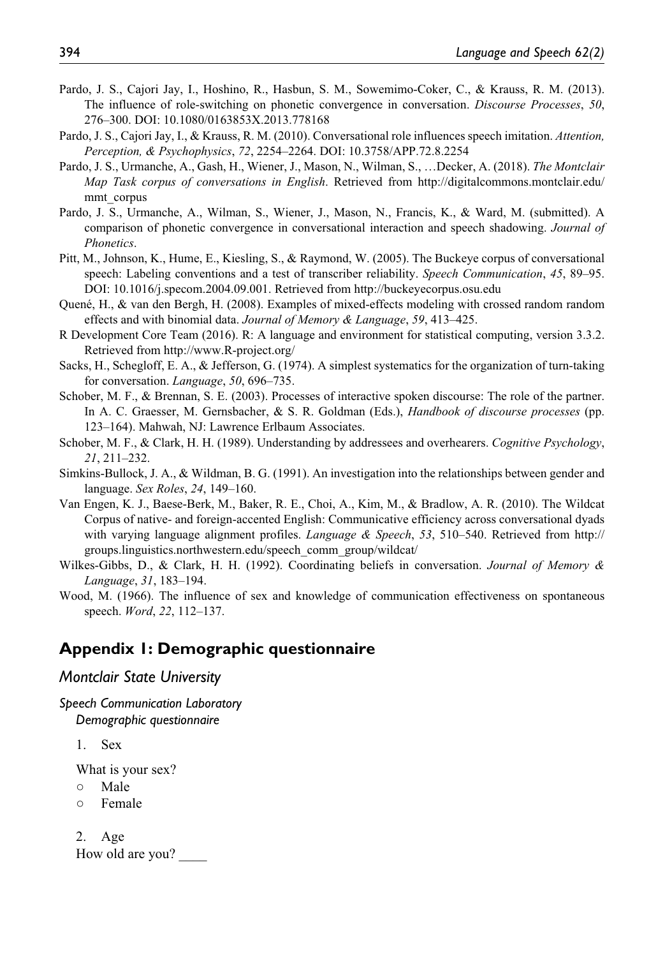- Pardo, J. S., Cajori Jay, I., Hoshino, R., Hasbun, S. M., Sowemimo-Coker, C., & Krauss, R. M. (2013). The influence of role-switching on phonetic convergence in conversation. *Discourse Processes*, *50*, 276–300. DOI: 10.1080/0163853X.2013.778168
- Pardo, J. S., Cajori Jay, I., & Krauss, R. M. (2010). Conversational role influences speech imitation. *Attention, Perception, & Psychophysics*, *72*, 2254–2264. DOI: 10.3758/APP.72.8.2254
- Pardo, J. S., Urmanche, A., Gash, H., Wiener, J., Mason, N., Wilman, S., …Decker, A. (2018). *The Montclair Map Task corpus of conversations in English*. Retrieved from [http://digitalcommons.montclair.edu/](http://digitalcommons.montclair.edu/mmt_corpus) [mmt\\_corpus](http://digitalcommons.montclair.edu/mmt_corpus)
- Pardo, J. S., Urmanche, A., Wilman, S., Wiener, J., Mason, N., Francis, K., & Ward, M. (submitted). A comparison of phonetic convergence in conversational interaction and speech shadowing. *Journal of Phonetics*.
- Pitt, M., Johnson, K., Hume, E., Kiesling, S., & Raymond, W. (2005). The Buckeye corpus of conversational speech: Labeling conventions and a test of transcriber reliability. *Speech Communication*, *45*, 89–95. DOI: 10.1016/j.specom.2004.09.001. Retrieved from<http://buckeyecorpus.osu.edu>
- Quené, H., & van den Bergh, H. (2008). Examples of mixed-effects modeling with crossed random random effects and with binomial data. *Journal of Memory & Language*, *59*, 413–425.
- R Development Core Team (2016). R: A language and environment for statistical computing, version 3.3.2. Retrieved from <http://www.R-project.org/>
- Sacks, H., Schegloff, E. A., & Jefferson, G. (1974). A simplest systematics for the organization of turn-taking for conversation. *Language*, *50*, 696–735.
- Schober, M. F., & Brennan, S. E. (2003). Processes of interactive spoken discourse: The role of the partner. In A. C. Graesser, M. Gernsbacher, & S. R. Goldman (Eds.), *Handbook of discourse processes* (pp. 123–164). Mahwah, NJ: Lawrence Erlbaum Associates.
- Schober, M. F., & Clark, H. H. (1989). Understanding by addressees and overhearers. *Cognitive Psychology*, *21*, 211–232.
- Simkins-Bullock, J. A., & Wildman, B. G. (1991). An investigation into the relationships between gender and language. *Sex Roles*, *24*, 149–160.
- Van Engen, K. J., Baese-Berk, M., Baker, R. E., Choi, A., Kim, M., & Bradlow, A. R. (2010). The Wildcat Corpus of native- and foreign-accented English: Communicative efficiency across conversational dyads with varying language alignment profiles. *Language & Speech*, *53*, 510–540. Retrieved from [http://](http://groups.linguistics.northwestern.edu/speech_comm_group/wildcat/) [groups.linguistics.northwestern.edu/speech\\_comm\\_group/wildcat/](http://groups.linguistics.northwestern.edu/speech_comm_group/wildcat/)
- Wilkes-Gibbs, D., & Clark, H. H. (1992). Coordinating beliefs in conversation. *Journal of Memory & Language*, *31*, 183–194.
- Wood, M. (1966). The influence of sex and knowledge of communication effectiveness on spontaneous speech. *Word*, *22*, 112–137.

#### **Appendix 1: Demographic questionnaire**

#### *Montclair State University*

*Speech Communication Laboratory Demographic questionnaire*

1. Sex

What is your sex?

- Male
- Female

2. Age How old are you? \_\_\_\_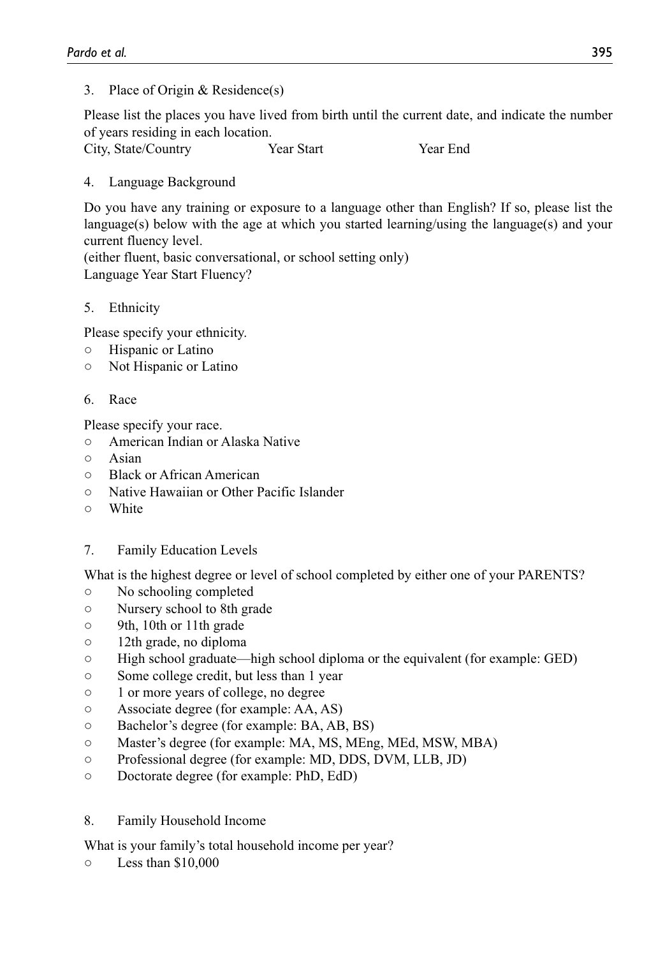3. Place of Origin & Residence(s)

Please list the places you have lived from birth until the current date, and indicate the number of years residing in each location.

City, State/Country Year Start Year End

4. Language Background

Do you have any training or exposure to a language other than English? If so, please list the language(s) below with the age at which you started learning/using the language(s) and your current fluency level.

(either fluent, basic conversational, or school setting only) Language Year Start Fluency?

5. Ethnicity

Please specify your ethnicity.

- Hispanic or Latino
- Not Hispanic or Latino
- 6. Race

Please specify your race.

- American Indian or Alaska Native
- Asian
- Black or African American
- Native Hawaiian or Other Pacific Islander
- White
- 7. Family Education Levels

What is the highest degree or level of school completed by either one of your PARENTS?

- No schooling completed
- Nursery school to 8th grade
- 9th, 10th or 11th grade
- 12th grade, no diploma
- High school graduate—high school diploma or the equivalent (for example: GED)
- Some college credit, but less than 1 year
- 1 or more years of college, no degree
- Associate degree (for example: AA, AS)
- Bachelor's degree (for example: BA, AB, BS)
- Master's degree (for example: MA, MS, MEng, MEd, MSW, MBA)
- Professional degree (for example: MD, DDS, DVM, LLB, JD)
- Doctorate degree (for example: PhD, EdD)
- 8. Family Household Income

What is your family's total household income per year?

○ Less than \$10,000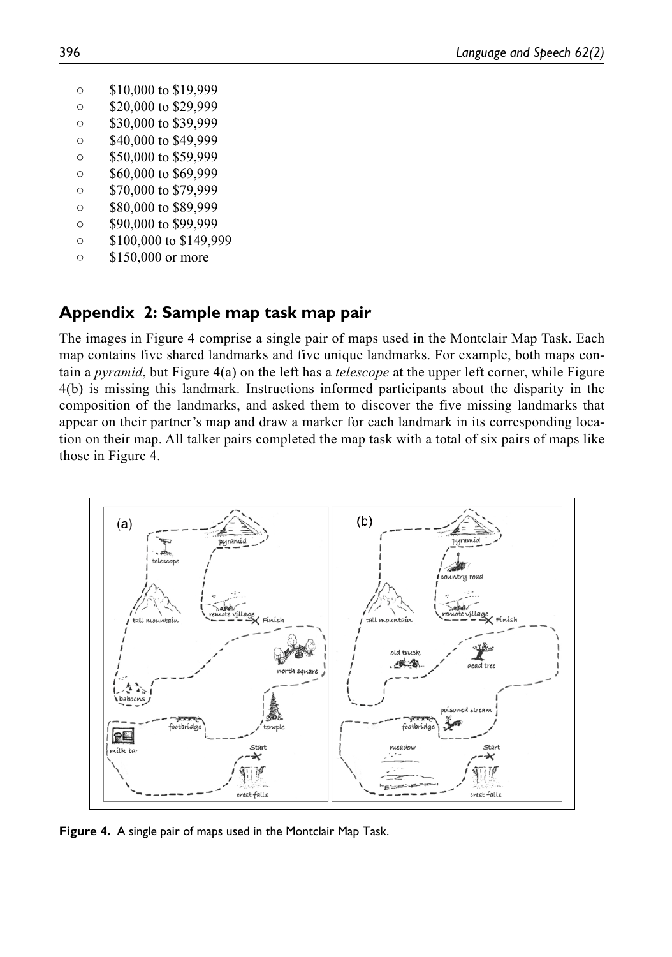- \$10,000 to \$19,999
- \$20,000 to \$29,999
- \$30,000 to \$39,999
- \$40,000 to \$49,999
- \$50,000 to \$59,999
- \$60,000 to \$69,999
- \$70,000 to \$79,999
- \$80,000 to \$89,999
- \$90,000 to \$99,999
- \$100,000 to \$149,999
- \$150,000 or more

# **Appendix 2: Sample map task map pair**

The images in Figure 4 comprise a single pair of maps used in the Montclair Map Task. Each map contains five shared landmarks and five unique landmarks. For example, both maps contain a *pyramid*, but Figure 4(a) on the left has a *telescope* at the upper left corner, while Figure 4(b) is missing this landmark. Instructions informed participants about the disparity in the composition of the landmarks, and asked them to discover the five missing landmarks that appear on their partner's map and draw a marker for each landmark in its corresponding location on their map. All talker pairs completed the map task with a total of six pairs of maps like those in Figure 4.



**Figure 4.** A single pair of maps used in the Montclair Map Task.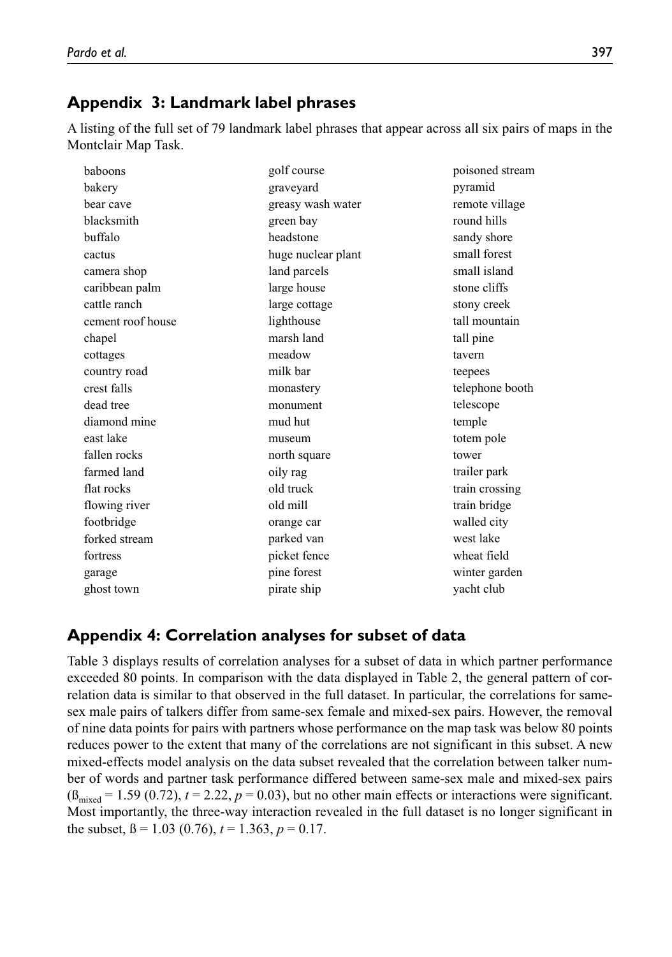# **Appendix 3: Landmark label phrases**

A listing of the full set of 79 landmark label phrases that appear across all six pairs of maps in the Montclair Map Task.

| baboons           | golf course        | poisoned stream |
|-------------------|--------------------|-----------------|
| bakery            | graveyard          | pyramid         |
| bear cave         | greasy wash water  | remote village  |
| blacksmith        | green bay          | round hills     |
| buffalo           | headstone          | sandy shore     |
| cactus            | huge nuclear plant | small forest    |
| camera shop       | land parcels       | small island    |
| caribbean palm    | large house        | stone cliffs    |
| cattle ranch      | large cottage      | stony creek     |
| cement roof house | lighthouse         | tall mountain   |
| chapel            | marsh land         | tall pine       |
| cottages          | meadow             | tavern          |
| country road      | milk bar           | teepees         |
| crest falls       | monastery          | telephone booth |
| dead tree         | monument           | telescope       |
| diamond mine      | mud hut            | temple          |
| east lake         | museum             | totem pole      |
| fallen rocks      | north square       | tower           |
| farmed land       | oily rag           | trailer park    |
| flat rocks        | old truck          | train crossing  |
| flowing river     | old mill           | train bridge    |
| footbridge        | orange car         | walled city     |
| forked stream     | parked van         | west lake       |
| fortress          | picket fence       | wheat field     |
| garage            | pine forest        | winter garden   |
| ghost town        | pirate ship        | vacht club      |

# **Appendix 4: Correlation analyses for subset of data**

Table 3 displays results of correlation analyses for a subset of data in which partner performance exceeded 80 points. In comparison with the data displayed in Table 2, the general pattern of correlation data is similar to that observed in the full dataset. In particular, the correlations for samesex male pairs of talkers differ from same-sex female and mixed-sex pairs. However, the removal of nine data points for pairs with partners whose performance on the map task was below 80 points reduces power to the extent that many of the correlations are not significant in this subset. A new mixed-effects model analysis on the data subset revealed that the correlation between talker number of words and partner task performance differed between same-sex male and mixed-sex pairs  $(\beta_{mixed} = 1.59 (0.72), t = 2.22, p = 0.03)$ , but no other main effects or interactions were significant. Most importantly, the three-way interaction revealed in the full dataset is no longer significant in the subset,  $\beta$  = 1.03 (0.76),  $t$  = 1.363,  $p$  = 0.17.